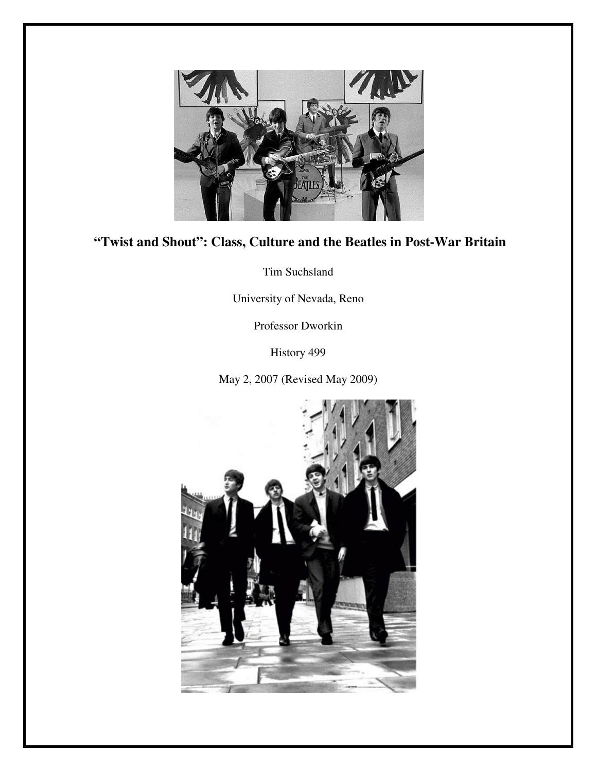

# **"Twist and Shout": Class, Culture and the Beatles in Post-War Britain**

Tim Suchsland

University of Nevada, Reno

Professor Dworkin

History 499

May 2, 2007 (Revised May 2009)

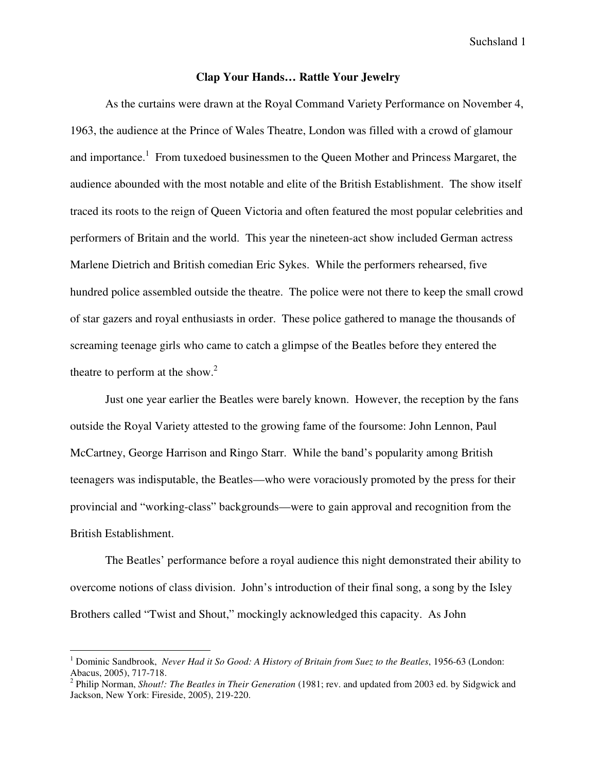# **Clap Your Hands… Rattle Your Jewelry**

As the curtains were drawn at the Royal Command Variety Performance on November 4, 1963, the audience at the Prince of Wales Theatre, London was filled with a crowd of glamour and importance.<sup>1</sup> From tuxedoed businessmen to the Queen Mother and Princess Margaret, the audience abounded with the most notable and elite of the British Establishment. The show itself traced its roots to the reign of Queen Victoria and often featured the most popular celebrities and performers of Britain and the world. This year the nineteen-act show included German actress Marlene Dietrich and British comedian Eric Sykes. While the performers rehearsed, five hundred police assembled outside the theatre. The police were not there to keep the small crowd of star gazers and royal enthusiasts in order. These police gathered to manage the thousands of screaming teenage girls who came to catch a glimpse of the Beatles before they entered the theatre to perform at the show.<sup>2</sup>

 Just one year earlier the Beatles were barely known. However, the reception by the fans outside the Royal Variety attested to the growing fame of the foursome: John Lennon, Paul McCartney, George Harrison and Ringo Starr. While the band's popularity among British teenagers was indisputable, the Beatles—who were voraciously promoted by the press for their provincial and "working-class" backgrounds—were to gain approval and recognition from the British Establishment.

The Beatles' performance before a royal audience this night demonstrated their ability to overcome notions of class division. John's introduction of their final song, a song by the Isley Brothers called "Twist and Shout," mockingly acknowledged this capacity. As John

<sup>&</sup>lt;sup>1</sup> Dominic Sandbrook, *Never Had it So Good: A History of Britain from Suez to the Beatles*, 1956-63 (London: Abacus, 2005), 717-718.

<sup>2</sup> Philip Norman, *Shout!: The Beatles in Their Generation* (1981; rev. and updated from 2003 ed. by Sidgwick and Jackson, New York: Fireside, 2005), 219-220.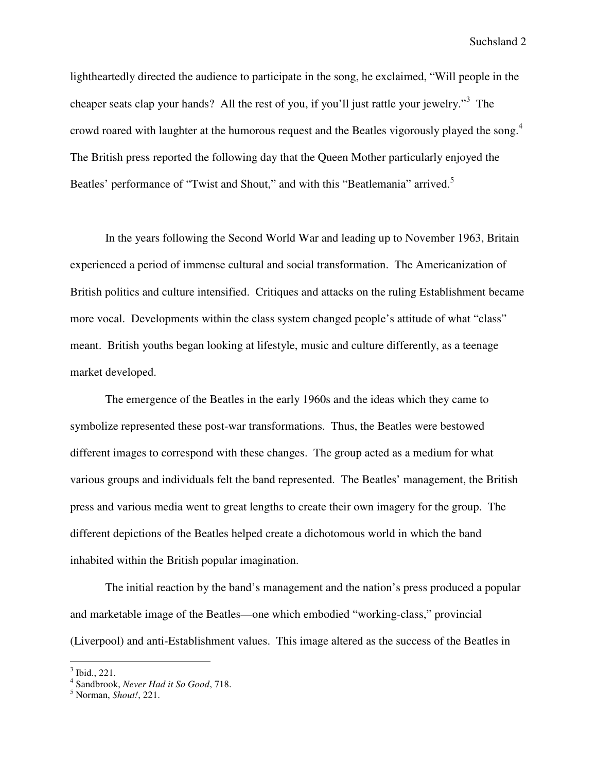lightheartedly directed the audience to participate in the song, he exclaimed, "Will people in the cheaper seats clap your hands? All the rest of you, if you'll just rattle your jewelry."<sup>3</sup> The crowd roared with laughter at the humorous request and the Beatles vigorously played the song.<sup>4</sup> The British press reported the following day that the Queen Mother particularly enjoyed the Beatles' performance of "Twist and Shout," and with this "Beatlemania" arrived.<sup>5</sup>

In the years following the Second World War and leading up to November 1963, Britain experienced a period of immense cultural and social transformation. The Americanization of British politics and culture intensified. Critiques and attacks on the ruling Establishment became more vocal. Developments within the class system changed people's attitude of what "class" meant. British youths began looking at lifestyle, music and culture differently, as a teenage market developed.

The emergence of the Beatles in the early 1960s and the ideas which they came to symbolize represented these post-war transformations. Thus, the Beatles were bestowed different images to correspond with these changes. The group acted as a medium for what various groups and individuals felt the band represented. The Beatles' management, the British press and various media went to great lengths to create their own imagery for the group. The different depictions of the Beatles helped create a dichotomous world in which the band inhabited within the British popular imagination.

The initial reaction by the band's management and the nation's press produced a popular and marketable image of the Beatles—one which embodied "working-class," provincial (Liverpool) and anti-Establishment values. This image altered as the success of the Beatles in

<sup>3</sup> Ibid., 221.

<sup>4</sup> Sandbrook, *Never Had it So Good*, 718.

<sup>5</sup> Norman, *Shout!*, 221.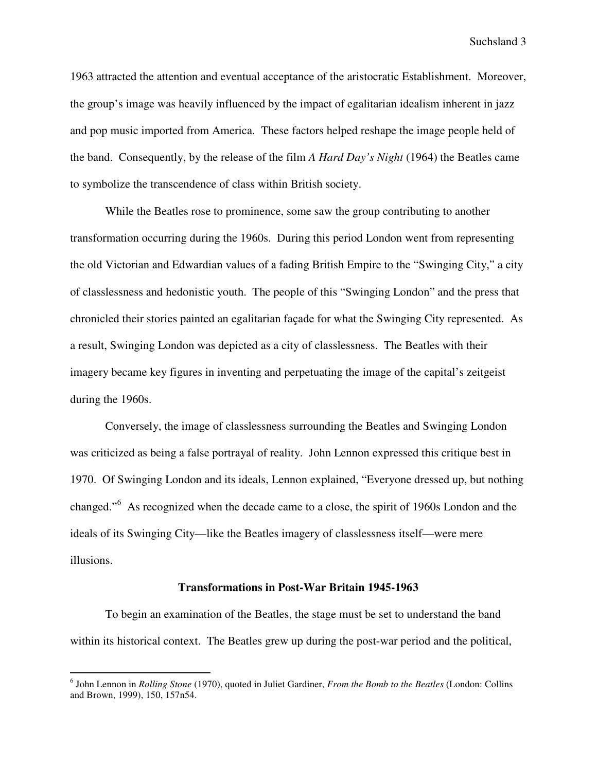1963 attracted the attention and eventual acceptance of the aristocratic Establishment. Moreover, the group's image was heavily influenced by the impact of egalitarian idealism inherent in jazz and pop music imported from America. These factors helped reshape the image people held of the band. Consequently, by the release of the film *A Hard Day's Night* (1964) the Beatles came to symbolize the transcendence of class within British society.

While the Beatles rose to prominence, some saw the group contributing to another transformation occurring during the 1960s. During this period London went from representing the old Victorian and Edwardian values of a fading British Empire to the "Swinging City," a city of classlessness and hedonistic youth. The people of this "Swinging London" and the press that chronicled their stories painted an egalitarian façade for what the Swinging City represented. As a result, Swinging London was depicted as a city of classlessness. The Beatles with their imagery became key figures in inventing and perpetuating the image of the capital's zeitgeist during the 1960s.

Conversely, the image of classlessness surrounding the Beatles and Swinging London was criticized as being a false portrayal of reality. John Lennon expressed this critique best in 1970. Of Swinging London and its ideals, Lennon explained, "Everyone dressed up, but nothing changed."<sup>6</sup> As recognized when the decade came to a close, the spirit of 1960s London and the ideals of its Swinging City—like the Beatles imagery of classlessness itself—were mere illusions.

### **Transformations in Post-War Britain 1945-1963**

To begin an examination of the Beatles, the stage must be set to understand the band within its historical context. The Beatles grew up during the post-war period and the political,

 6 John Lennon in *Rolling Stone* (1970), quoted in Juliet Gardiner, *From the Bomb to the Beatles* (London: Collins and Brown, 1999), 150, 157n54.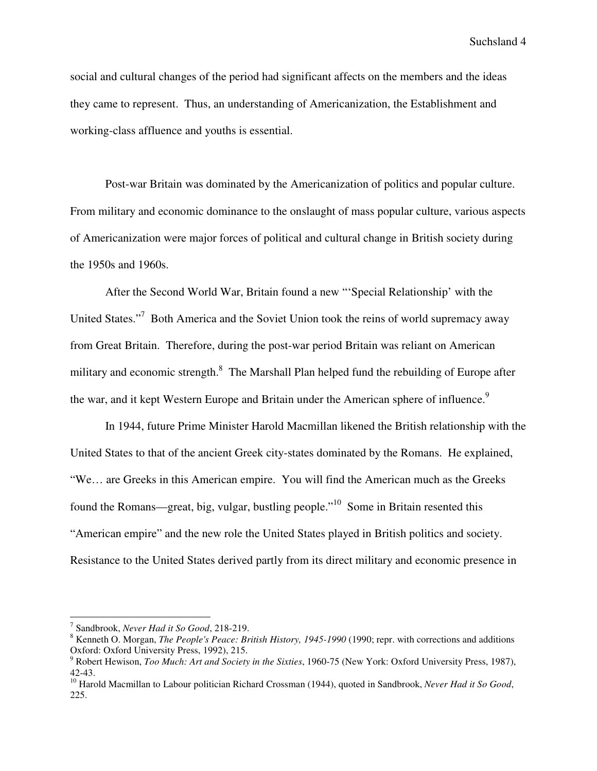social and cultural changes of the period had significant affects on the members and the ideas they came to represent. Thus, an understanding of Americanization, the Establishment and working-class affluence and youths is essential.

 Post-war Britain was dominated by the Americanization of politics and popular culture. From military and economic dominance to the onslaught of mass popular culture, various aspects of Americanization were major forces of political and cultural change in British society during the 1950s and 1960s.

After the Second World War, Britain found a new "'Special Relationship' with the United States."<sup>7</sup> Both America and the Soviet Union took the reins of world supremacy away from Great Britain. Therefore, during the post-war period Britain was reliant on American military and economic strength.<sup>8</sup> The Marshall Plan helped fund the rebuilding of Europe after the war, and it kept Western Europe and Britain under the American sphere of influence.<sup>9</sup>

In 1944, future Prime Minister Harold Macmillan likened the British relationship with the United States to that of the ancient Greek city-states dominated by the Romans. He explained, "We… are Greeks in this American empire. You will find the American much as the Greeks found the Romans—great, big, vulgar, bustling people."<sup>10</sup> Some in Britain resented this "American empire" and the new role the United States played in British politics and society. Resistance to the United States derived partly from its direct military and economic presence in

<sup>7</sup> Sandbrook, *Never Had it So Good*, 218-219.

<sup>8</sup> Kenneth O. Morgan, *The People's Peace: British History, 1945-1990* (1990; repr. with corrections and additions Oxford: Oxford University Press, 1992), 215.

<sup>9</sup> Robert Hewison, *Too Much: Art and Society in the Sixties*, 1960-75 (New York: Oxford University Press, 1987), 42-43.

<sup>&</sup>lt;sup>10</sup> Harold Macmillan to Labour politician Richard Crossman (1944), quoted in Sandbrook, *Never Had it So Good*, 225.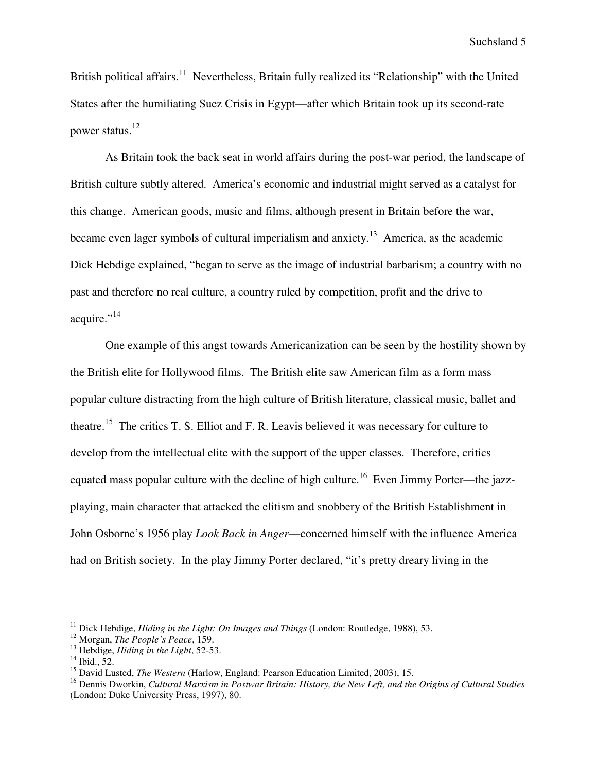British political affairs.<sup>11</sup> Nevertheless, Britain fully realized its "Relationship" with the United States after the humiliating Suez Crisis in Egypt—after which Britain took up its second-rate power status.<sup>12</sup>

As Britain took the back seat in world affairs during the post-war period, the landscape of British culture subtly altered. America's economic and industrial might served as a catalyst for this change. American goods, music and films, although present in Britain before the war, became even lager symbols of cultural imperialism and anxiety.<sup>13</sup> America, as the academic Dick Hebdige explained, "began to serve as the image of industrial barbarism; a country with no past and therefore no real culture, a country ruled by competition, profit and the drive to acquire."<sup>14</sup>

One example of this angst towards Americanization can be seen by the hostility shown by the British elite for Hollywood films. The British elite saw American film as a form mass popular culture distracting from the high culture of British literature, classical music, ballet and theatre.<sup>15</sup> The critics T. S. Elliot and F. R. Leavis believed it was necessary for culture to develop from the intellectual elite with the support of the upper classes. Therefore, critics equated mass popular culture with the decline of high culture.<sup>16</sup> Even Jimmy Porter—the jazzplaying, main character that attacked the elitism and snobbery of the British Establishment in John Osborne's 1956 play *Look Back in Anger*—concerned himself with the influence America had on British society. In the play Jimmy Porter declared, "it's pretty dreary living in the

<sup>&</sup>lt;sup>11</sup> Dick Hebdige, *Hiding in the Light: On Images and Things* (London: Routledge, 1988), 53.

<sup>12</sup> Morgan, *The People's Peace*, 159.

<sup>13</sup> Hebdige, *Hiding in the Light*, 52-53.

 $14$  Ibid., 52.

<sup>15</sup> David Lusted, *The Western* (Harlow, England: Pearson Education Limited, 2003), 15.

<sup>16</sup> Dennis Dworkin, *Cultural Marxism in Postwar Britain: History, the New Left, and the Origins of Cultural Studies* (London: Duke University Press, 1997), 80.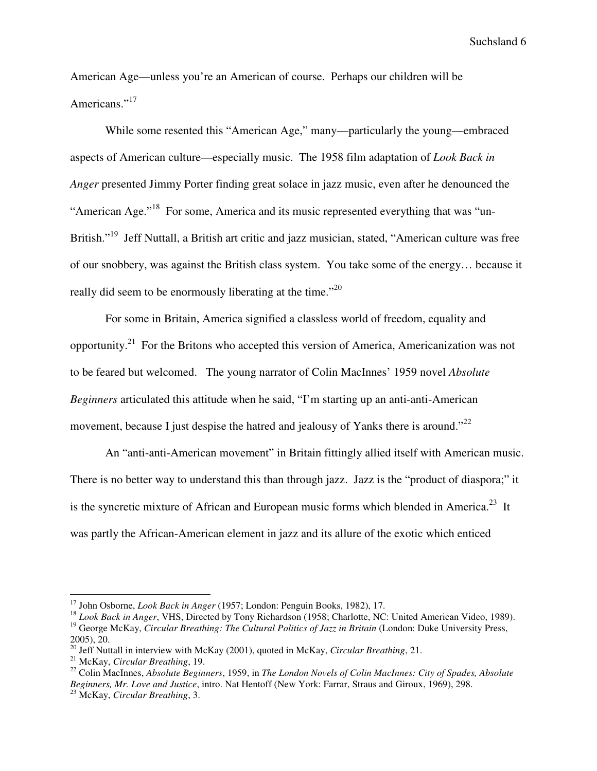American Age—unless you're an American of course. Perhaps our children will be Americans."<sup>17</sup>

While some resented this "American Age," many—particularly the young—embraced aspects of American culture—especially music. The 1958 film adaptation of *Look Back in Anger* presented Jimmy Porter finding great solace in jazz music, even after he denounced the "American Age."<sup>18</sup> For some, America and its music represented everything that was "un-British."<sup>19</sup> Jeff Nuttall, a British art critic and jazz musician, stated, "American culture was free of our snobbery, was against the British class system. You take some of the energy… because it really did seem to be enormously liberating at the time."<sup>20</sup>

For some in Britain, America signified a classless world of freedom, equality and opportunity.<sup>21</sup> For the Britons who accepted this version of America, Americanization was not to be feared but welcomed. The young narrator of Colin MacInnes' 1959 novel *Absolute Beginners* articulated this attitude when he said, "I'm starting up an anti-anti-American movement, because I just despise the hatred and jealousy of Yanks there is around."<sup>22</sup>

An "anti-anti-American movement" in Britain fittingly allied itself with American music. There is no better way to understand this than through jazz. Jazz is the "product of diaspora;" it is the syncretic mixture of African and European music forms which blended in America.<sup>23</sup> It was partly the African-American element in jazz and its allure of the exotic which enticed

<sup>17</sup> John Osborne, *Look Back in Anger* (1957; London: Penguin Books, 1982), 17.

<sup>&</sup>lt;sup>18</sup> *Look Back in Anger*, VHS, Directed by Tony Richardson (1958; Charlotte, NC: United American Video, 1989). <sup>19</sup> George McKay, *Circular Breathing: The Cultural Politics of Jazz in Britain* (London: Duke University Press,

<sup>2005), 20.</sup> 

<sup>20</sup> Jeff Nuttall in interview with McKay (2001), quoted in McKay, *Circular Breathing*, 21.

<sup>21</sup> McKay, *Circular Breathing*, 19.

<sup>22</sup> Colin MacInnes, *Absolute Beginners*, 1959, in *The London Novels of Colin MacInnes: City of Spades, Absolute Beginners, Mr. Love and Justice*, intro. Nat Hentoff (New York: Farrar, Straus and Giroux, 1969), 298. <sup>23</sup> McKay, *Circular Breathing*, 3.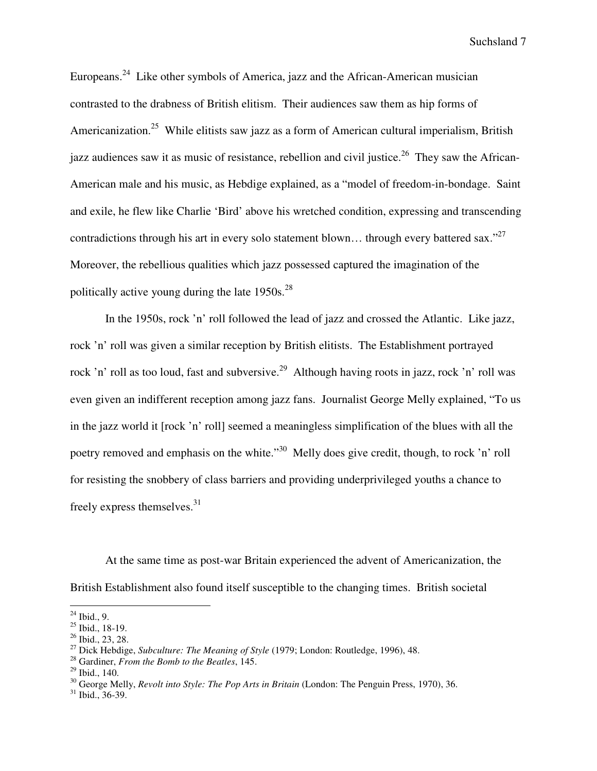Europeans.<sup>24</sup> Like other symbols of America, jazz and the African-American musician contrasted to the drabness of British elitism. Their audiences saw them as hip forms of Americanization.<sup>25</sup> While elitists saw jazz as a form of American cultural imperialism, British jazz audiences saw it as music of resistance, rebellion and civil justice.<sup>26</sup> They saw the African-American male and his music, as Hebdige explained, as a "model of freedom-in-bondage. Saint and exile, he flew like Charlie 'Bird' above his wretched condition, expressing and transcending contradictions through his art in every solo statement blown... through every battered sax."<sup>27</sup> Moreover, the rebellious qualities which jazz possessed captured the imagination of the politically active young during the late  $1950s.^{28}$ 

In the 1950s, rock 'n' roll followed the lead of jazz and crossed the Atlantic. Like jazz, rock 'n' roll was given a similar reception by British elitists. The Establishment portrayed rock 'n' roll as too loud, fast and subversive.<sup>29</sup> Although having roots in jazz, rock 'n' roll was even given an indifferent reception among jazz fans. Journalist George Melly explained, "To us in the jazz world it [rock 'n' roll] seemed a meaningless simplification of the blues with all the poetry removed and emphasis on the white."<sup>30</sup> Melly does give credit, though, to rock 'n' roll for resisting the snobbery of class barriers and providing underprivileged youths a chance to freely express themselves.<sup>31</sup>

At the same time as post-war Britain experienced the advent of Americanization, the British Establishment also found itself susceptible to the changing times. British societal

 $\overline{a}$  $^{24}$  Ibid., 9.

 $25$  Ibid., 18-19.

<sup>26</sup> Ibid., 23, 28.

<sup>27</sup> Dick Hebdige, *Subculture: The Meaning of Style* (1979; London: Routledge, 1996), 48.

<sup>28</sup> Gardiner, *From the Bomb to the Beatles*, 145.

 $29$  Ibid., 140.

<sup>30</sup> George Melly, *Revolt into Style: The Pop Arts in Britain* (London: The Penguin Press, 1970), 36.

 $31$  Ibid., 36-39.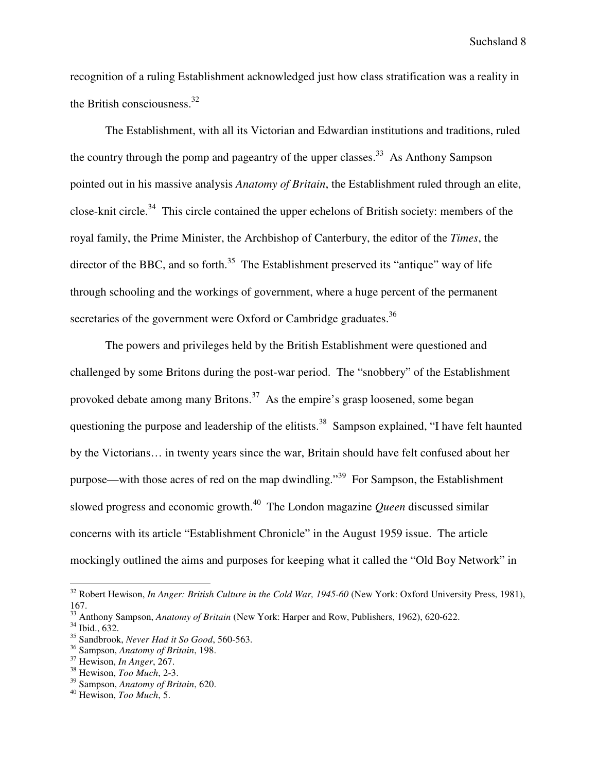recognition of a ruling Establishment acknowledged just how class stratification was a reality in the British consciousness. $32$ 

The Establishment, with all its Victorian and Edwardian institutions and traditions, ruled the country through the pomp and pageantry of the upper classes.<sup>33</sup> As Anthony Sampson pointed out in his massive analysis *Anatomy of Britain*, the Establishment ruled through an elite, close-knit circle.<sup>34</sup> This circle contained the upper echelons of British society: members of the royal family, the Prime Minister, the Archbishop of Canterbury, the editor of the *Times*, the director of the BBC, and so forth.<sup>35</sup> The Establishment preserved its "antique" way of life through schooling and the workings of government, where a huge percent of the permanent secretaries of the government were Oxford or Cambridge graduates.<sup>36</sup>

The powers and privileges held by the British Establishment were questioned and challenged by some Britons during the post-war period. The "snobbery" of the Establishment provoked debate among many Britons.<sup>37</sup> As the empire's grasp loosened, some began questioning the purpose and leadership of the elitists.<sup>38</sup> Sampson explained, "I have felt haunted by the Victorians… in twenty years since the war, Britain should have felt confused about her purpose—with those acres of red on the map dwindling."<sup>39</sup> For Sampson, the Establishment slowed progress and economic growth.<sup>40</sup> The London magazine *Queen* discussed similar concerns with its article "Establishment Chronicle" in the August 1959 issue. The article mockingly outlined the aims and purposes for keeping what it called the "Old Boy Network" in

<sup>32</sup> Robert Hewison, *In Anger: British Culture in the Cold War, 1945-60* (New York: Oxford University Press, 1981), 167.

<sup>33</sup> Anthony Sampson, *Anatomy of Britain* (New York: Harper and Row, Publishers, 1962), 620-622.

<sup>34</sup> Ibid., 632.

<sup>35</sup> Sandbrook, *Never Had it So Good*, 560-563.

<sup>36</sup> Sampson, *Anatomy of Britain*, 198.

<sup>37</sup> Hewison, *In Anger*, 267.

<sup>38</sup> Hewison, *Too Much*, 2-3.

<sup>39</sup> Sampson, *Anatomy of Britain*, 620.

<sup>40</sup> Hewison, *Too Much*, 5.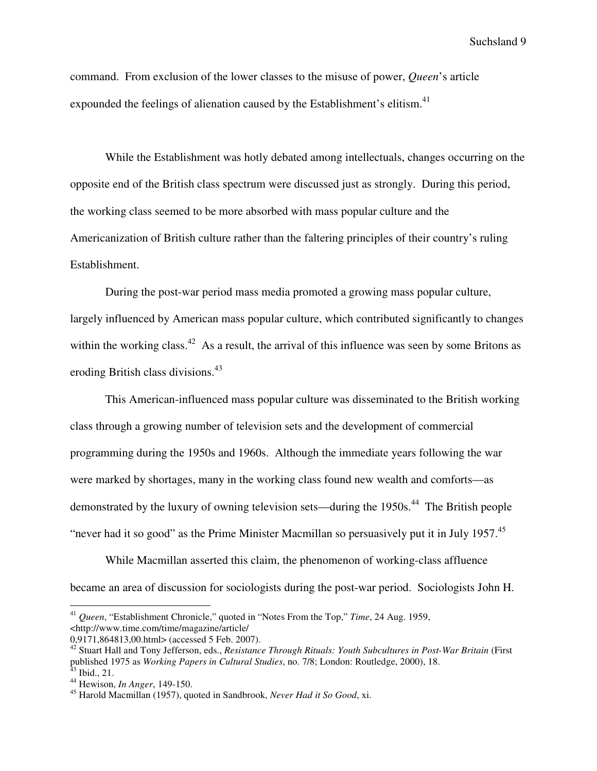command. From exclusion of the lower classes to the misuse of power, *Queen*'s article expounded the feelings of alienation caused by the Establishment's elitism.<sup>41</sup>

While the Establishment was hotly debated among intellectuals, changes occurring on the opposite end of the British class spectrum were discussed just as strongly. During this period, the working class seemed to be more absorbed with mass popular culture and the Americanization of British culture rather than the faltering principles of their country's ruling Establishment.

During the post-war period mass media promoted a growing mass popular culture, largely influenced by American mass popular culture, which contributed significantly to changes within the working class.<sup>42</sup> As a result, the arrival of this influence was seen by some Britons as eroding British class divisions.<sup>43</sup>

This American-influenced mass popular culture was disseminated to the British working class through a growing number of television sets and the development of commercial programming during the 1950s and 1960s. Although the immediate years following the war were marked by shortages, many in the working class found new wealth and comforts—as demonstrated by the luxury of owning television sets—during the 1950s.<sup>44</sup> The British people "never had it so good" as the Prime Minister Macmillan so persuasively put it in July 1957. $^{45}$ 

While Macmillan asserted this claim, the phenomenon of working-class affluence became an area of discussion for sociologists during the post-war period. Sociologists John H.

<sup>41</sup> *Queen*, "Establishment Chronicle," quoted in "Notes From the Top," *Time*, 24 Aug. 1959, <http://www.time.com/time/magazine/article/

<sup>0,9171,864813,00.</sup>html> (accessed 5 Feb. 2007).

<sup>42</sup> Stuart Hall and Tony Jefferson, eds., *Resistance Through Rituals: Youth Subcultures in Post-War Britain* (First published 1975 as *Working Papers in Cultural Studies*, no. 7/8; London: Routledge, 2000), 18. Ibid., 21.

<sup>44</sup> Hewison, *In Anger*, 149-150.

<sup>45</sup> Harold Macmillan (1957), quoted in Sandbrook, *Never Had it So Good*, xi.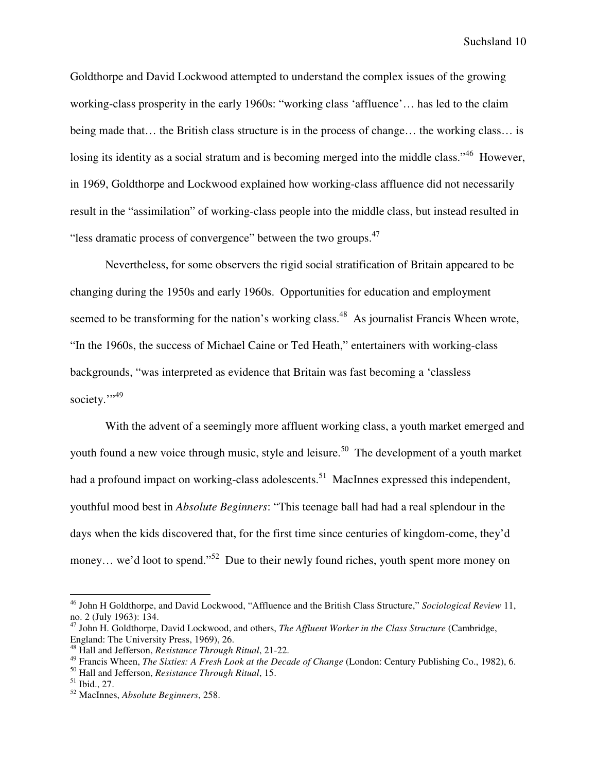Goldthorpe and David Lockwood attempted to understand the complex issues of the growing working-class prosperity in the early 1960s: "working class 'affluence'… has led to the claim being made that… the British class structure is in the process of change… the working class… is losing its identity as a social stratum and is becoming merged into the middle class."<sup>46</sup> However, in 1969, Goldthorpe and Lockwood explained how working-class affluence did not necessarily result in the "assimilation" of working-class people into the middle class, but instead resulted in "less dramatic process of convergence" between the two groups.<sup>47</sup>

Nevertheless, for some observers the rigid social stratification of Britain appeared to be changing during the 1950s and early 1960s. Opportunities for education and employment seemed to be transforming for the nation's working class.<sup>48</sup> As journalist Francis Wheen wrote, "In the 1960s, the success of Michael Caine or Ted Heath," entertainers with working-class backgrounds, "was interpreted as evidence that Britain was fast becoming a 'classless society."<sup>49</sup>

With the advent of a seemingly more affluent working class, a youth market emerged and youth found a new voice through music, style and leisure.<sup>50</sup> The development of a youth market had a profound impact on working-class adolescents.<sup>51</sup> MacInnes expressed this independent, youthful mood best in *Absolute Beginners*: "This teenage ball had had a real splendour in the days when the kids discovered that, for the first time since centuries of kingdom-come, they'd money... we'd loot to spend."<sup>52</sup> Due to their newly found riches, youth spent more money on

<sup>46</sup> John H Goldthorpe, and David Lockwood, "Affluence and the British Class Structure," *Sociological Review* 11, no. 2 (July 1963): 134.

<sup>47</sup> John H. Goldthorpe, David Lockwood, and others, *The Affluent Worker in the Class Structure* (Cambridge, England: The University Press, 1969), 26.

<sup>48</sup> Hall and Jefferson, *Resistance Through Ritual*, 21-22.

<sup>49</sup> Francis Wheen, *The Sixties: A Fresh Look at the Decade of Change* (London: Century Publishing Co., 1982), 6.

<sup>50</sup> Hall and Jefferson, *Resistance Through Ritual*, 15.

<sup>51</sup> Ibid., 27.

<sup>52</sup> MacInnes, *Absolute Beginners*, 258.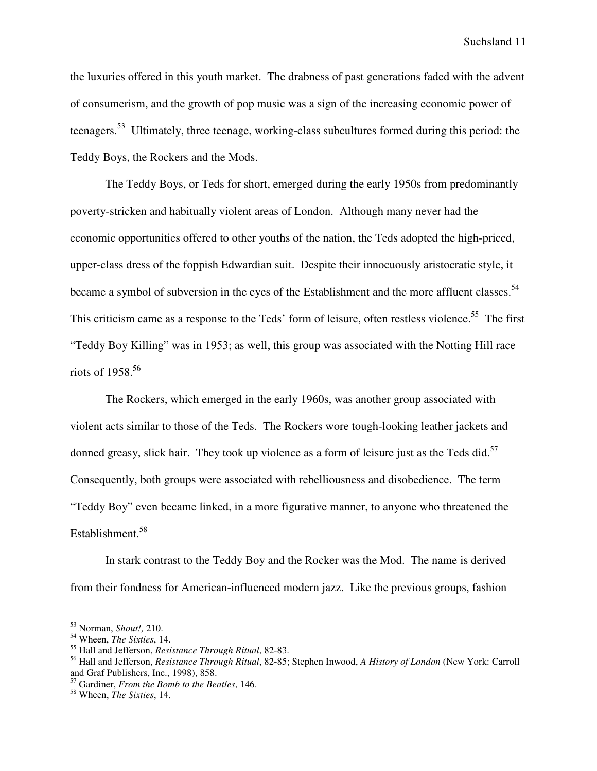the luxuries offered in this youth market. The drabness of past generations faded with the advent of consumerism, and the growth of pop music was a sign of the increasing economic power of teenagers.<sup>53</sup> Ultimately, three teenage, working-class subcultures formed during this period: the Teddy Boys, the Rockers and the Mods.

The Teddy Boys, or Teds for short, emerged during the early 1950s from predominantly poverty-stricken and habitually violent areas of London. Although many never had the economic opportunities offered to other youths of the nation, the Teds adopted the high-priced, upper-class dress of the foppish Edwardian suit. Despite their innocuously aristocratic style, it became a symbol of subversion in the eyes of the Establishment and the more affluent classes.<sup>54</sup> This criticism came as a response to the Teds' form of leisure, often restless violence.<sup>55</sup> The first "Teddy Boy Killing" was in 1953; as well, this group was associated with the Notting Hill race riots of 1958. $56$ 

The Rockers, which emerged in the early 1960s, was another group associated with violent acts similar to those of the Teds. The Rockers wore tough-looking leather jackets and donned greasy, slick hair. They took up violence as a form of leisure just as the Teds did. $57$ Consequently, both groups were associated with rebelliousness and disobedience. The term "Teddy Boy" even became linked, in a more figurative manner, to anyone who threatened the Establishment.<sup>58</sup>

In stark contrast to the Teddy Boy and the Rocker was the Mod. The name is derived from their fondness for American-influenced modern jazz. Like the previous groups, fashion

<sup>53</sup> Norman, *Shout!,* 210.

<sup>54</sup> Wheen, *The Sixties*, 14.

<sup>55</sup> Hall and Jefferson, *Resistance Through Ritual*, 82-83.

<sup>56</sup> Hall and Jefferson, *Resistance Through Ritual*, 82-85; Stephen Inwood, *A History of London* (New York: Carroll and Graf Publishers, Inc., 1998), 858.

<sup>57</sup> Gardiner, *From the Bomb to the Beatles*, 146.

<sup>58</sup> Wheen, *The Sixties*, 14.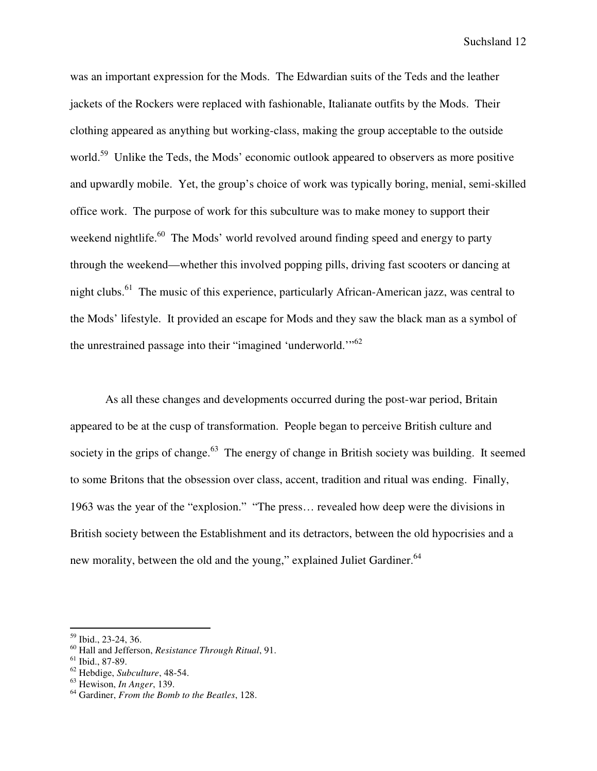was an important expression for the Mods. The Edwardian suits of the Teds and the leather jackets of the Rockers were replaced with fashionable, Italianate outfits by the Mods. Their clothing appeared as anything but working-class, making the group acceptable to the outside world.<sup>59</sup> Unlike the Teds, the Mods' economic outlook appeared to observers as more positive and upwardly mobile. Yet, the group's choice of work was typically boring, menial, semi-skilled office work. The purpose of work for this subculture was to make money to support their weekend nightlife.<sup>60</sup> The Mods' world revolved around finding speed and energy to party through the weekend—whether this involved popping pills, driving fast scooters or dancing at night clubs.<sup>61</sup> The music of this experience, particularly African-American jazz, was central to the Mods' lifestyle. It provided an escape for Mods and they saw the black man as a symbol of the unrestrained passage into their "imagined 'underworld."<sup>62</sup>

As all these changes and developments occurred during the post-war period, Britain appeared to be at the cusp of transformation. People began to perceive British culture and society in the grips of change.<sup>63</sup> The energy of change in British society was building. It seemed to some Britons that the obsession over class, accent, tradition and ritual was ending. Finally, 1963 was the year of the "explosion." "The press… revealed how deep were the divisions in British society between the Establishment and its detractors, between the old hypocrisies and a new morality, between the old and the young," explained Juliet Gardiner.<sup>64</sup>

<sup>59</sup> Ibid., 23-24, 36.

<sup>60</sup> Hall and Jefferson, *Resistance Through Ritual*, 91.

 $61$  Ibid., 87-89.

<sup>62</sup> Hebdige, *Subculture*, 48-54.

<sup>63</sup> Hewison, *In Anger*, 139.

<sup>64</sup> Gardiner, *From the Bomb to the Beatles*, 128.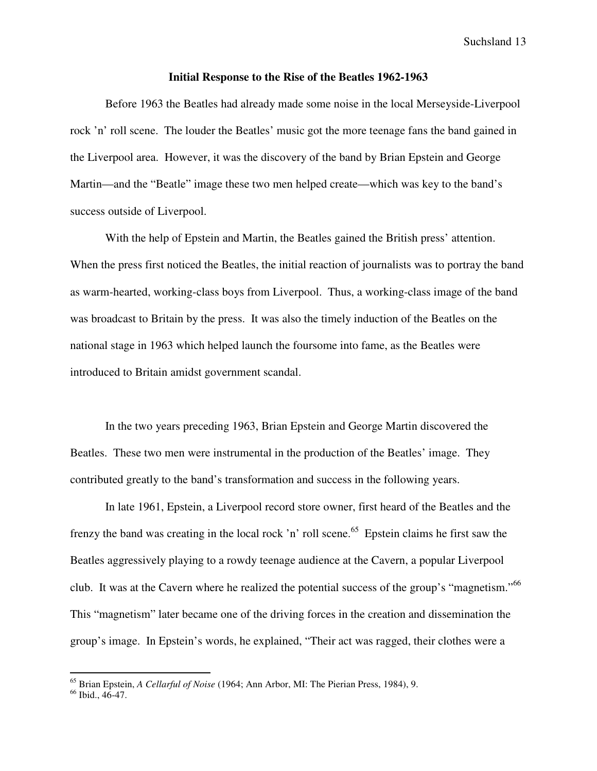#### **Initial Response to the Rise of the Beatles 1962-1963**

Before 1963 the Beatles had already made some noise in the local Merseyside-Liverpool rock 'n' roll scene. The louder the Beatles' music got the more teenage fans the band gained in the Liverpool area. However, it was the discovery of the band by Brian Epstein and George Martin—and the "Beatle" image these two men helped create—which was key to the band's success outside of Liverpool.

With the help of Epstein and Martin, the Beatles gained the British press' attention. When the press first noticed the Beatles, the initial reaction of journalists was to portray the band as warm-hearted, working-class boys from Liverpool. Thus, a working-class image of the band was broadcast to Britain by the press. It was also the timely induction of the Beatles on the national stage in 1963 which helped launch the foursome into fame, as the Beatles were introduced to Britain amidst government scandal.

In the two years preceding 1963, Brian Epstein and George Martin discovered the Beatles. These two men were instrumental in the production of the Beatles' image. They contributed greatly to the band's transformation and success in the following years.

In late 1961, Epstein, a Liverpool record store owner, first heard of the Beatles and the frenzy the band was creating in the local rock 'n' roll scene.<sup>65</sup> Epstein claims he first saw the Beatles aggressively playing to a rowdy teenage audience at the Cavern, a popular Liverpool club. It was at the Cavern where he realized the potential success of the group's "magnetism."<sup>66</sup> This "magnetism" later became one of the driving forces in the creation and dissemination the group's image. In Epstein's words, he explained, "Their act was ragged, their clothes were a

<sup>65</sup> Brian Epstein, *A Cellarful of Noise* (1964; Ann Arbor, MI: The Pierian Press, 1984), 9.

<sup>66</sup> Ibid., 46-47.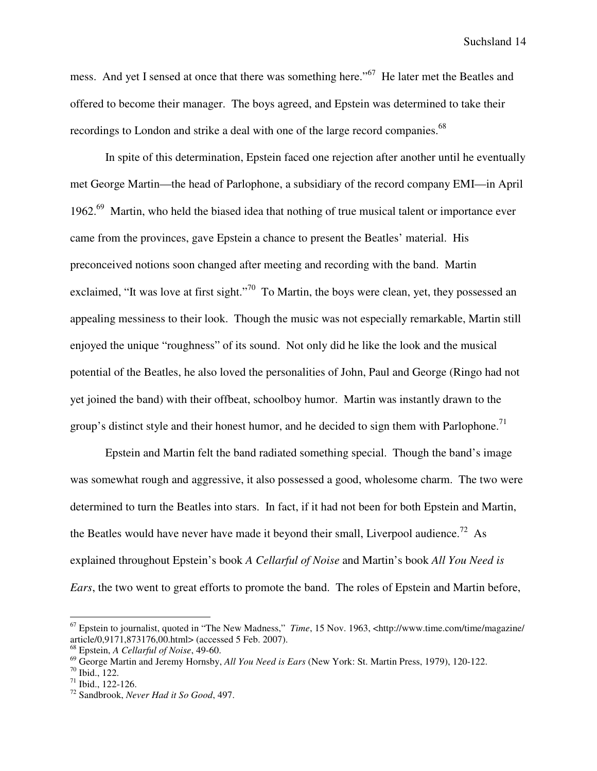mess. And yet I sensed at once that there was something here."<sup>67</sup> He later met the Beatles and offered to become their manager. The boys agreed, and Epstein was determined to take their recordings to London and strike a deal with one of the large record companies.<sup>68</sup>

In spite of this determination, Epstein faced one rejection after another until he eventually met George Martin—the head of Parlophone, a subsidiary of the record company EMI—in April 1962.<sup>69</sup> Martin, who held the biased idea that nothing of true musical talent or importance ever came from the provinces, gave Epstein a chance to present the Beatles' material. His preconceived notions soon changed after meeting and recording with the band. Martin exclaimed, "It was love at first sight."<sup>70</sup> To Martin, the boys were clean, yet, they possessed an appealing messiness to their look. Though the music was not especially remarkable, Martin still enjoyed the unique "roughness" of its sound. Not only did he like the look and the musical potential of the Beatles, he also loved the personalities of John, Paul and George (Ringo had not yet joined the band) with their offbeat, schoolboy humor. Martin was instantly drawn to the group's distinct style and their honest humor, and he decided to sign them with Parlophone.<sup>71</sup>

Epstein and Martin felt the band radiated something special. Though the band's image was somewhat rough and aggressive, it also possessed a good, wholesome charm. The two were determined to turn the Beatles into stars. In fact, if it had not been for both Epstein and Martin, the Beatles would have never have made it beyond their small, Liverpool audience.<sup>72</sup> As explained throughout Epstein's book *A Cellarful of Noise* and Martin's book *All You Need is Ears*, the two went to great efforts to promote the band. The roles of Epstein and Martin before,

<sup>67</sup> Epstein to journalist, quoted in "The New Madness," *Time*, 15 Nov. 1963, <http://www.time.com/time/magazine/ article/0,9171,873176,00.html> (accessed 5 Feb. 2007).

<sup>68</sup> Epstein, *A Cellarful of Noise*, 49-60.

<sup>69</sup> George Martin and Jeremy Hornsby, *All You Need is Ears* (New York: St. Martin Press, 1979), 120-122.

 $70$  Ibid., 122.

 $71$  Ibid., 122-126.

<sup>72</sup> Sandbrook, *Never Had it So Good*, 497.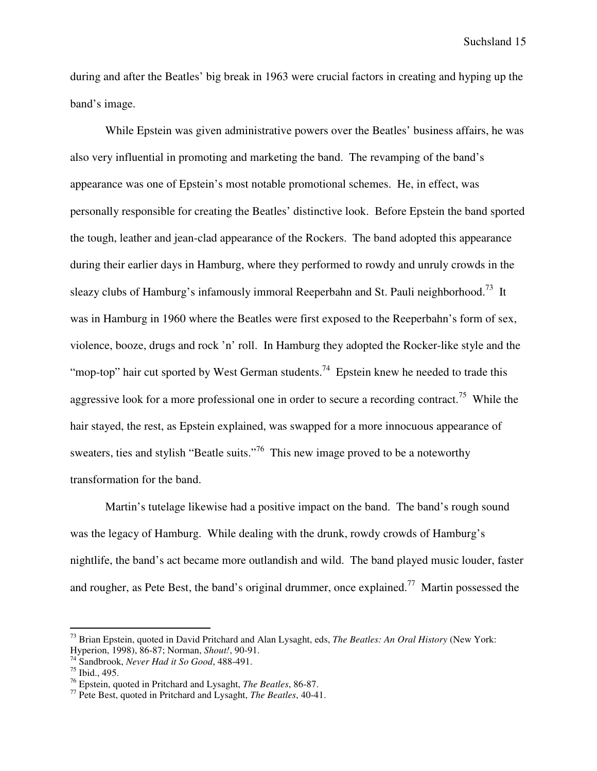during and after the Beatles' big break in 1963 were crucial factors in creating and hyping up the band's image.

While Epstein was given administrative powers over the Beatles' business affairs, he was also very influential in promoting and marketing the band. The revamping of the band's appearance was one of Epstein's most notable promotional schemes. He, in effect, was personally responsible for creating the Beatles' distinctive look. Before Epstein the band sported the tough, leather and jean-clad appearance of the Rockers. The band adopted this appearance during their earlier days in Hamburg, where they performed to rowdy and unruly crowds in the sleazy clubs of Hamburg's infamously immoral Reeperbahn and St. Pauli neighborhood.<sup>73</sup> It was in Hamburg in 1960 where the Beatles were first exposed to the Reeperbahn's form of sex, violence, booze, drugs and rock 'n' roll. In Hamburg they adopted the Rocker-like style and the "mop-top" hair cut sported by West German students.<sup>74</sup> Epstein knew he needed to trade this aggressive look for a more professional one in order to secure a recording contract.<sup>75</sup> While the hair stayed, the rest, as Epstein explained, was swapped for a more innocuous appearance of sweaters, ties and stylish "Beatle suits."<sup>76</sup> This new image proved to be a noteworthy transformation for the band.

Martin's tutelage likewise had a positive impact on the band. The band's rough sound was the legacy of Hamburg. While dealing with the drunk, rowdy crowds of Hamburg's nightlife, the band's act became more outlandish and wild. The band played music louder, faster and rougher, as Pete Best, the band's original drummer, once explained.<sup>77</sup> Martin possessed the

<sup>73</sup> Brian Epstein, quoted in David Pritchard and Alan Lysaght, eds, *The Beatles: An Oral History* (New York: Hyperion, 1998), 86-87; Norman, *Shout!*, 90-91.

<sup>74</sup> Sandbrook, *Never Had it So Good*, 488-491.

 $75$  Ibid., 495.

<sup>76</sup> Epstein, quoted in Pritchard and Lysaght, *The Beatles*, 86-87.

<sup>77</sup> Pete Best, quoted in Pritchard and Lysaght, *The Beatles*, 40-41.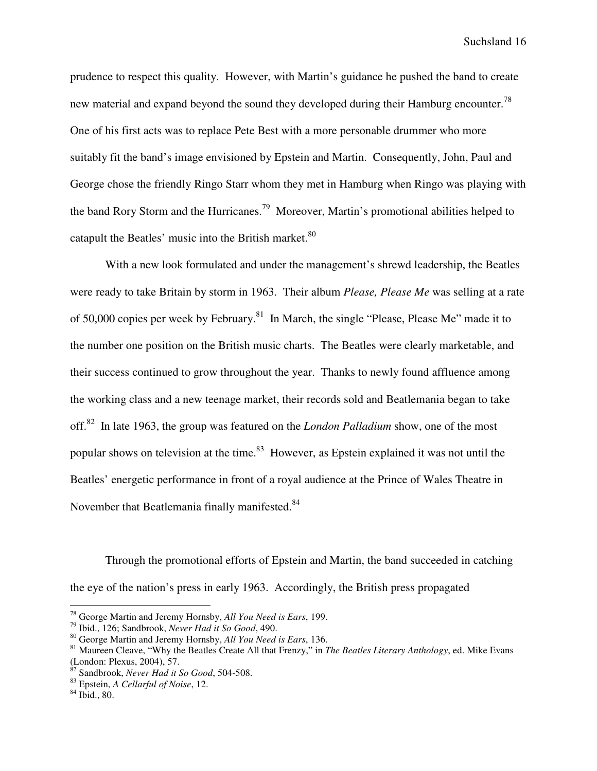prudence to respect this quality. However, with Martin's guidance he pushed the band to create new material and expand beyond the sound they developed during their Hamburg encounter.<sup>78</sup> One of his first acts was to replace Pete Best with a more personable drummer who more suitably fit the band's image envisioned by Epstein and Martin. Consequently, John, Paul and George chose the friendly Ringo Starr whom they met in Hamburg when Ringo was playing with the band Rory Storm and the Hurricanes.<sup>79</sup> Moreover, Martin's promotional abilities helped to catapult the Beatles' music into the British market.<sup>80</sup>

With a new look formulated and under the management's shrewd leadership, the Beatles were ready to take Britain by storm in 1963. Their album *Please, Please Me* was selling at a rate of 50,000 copies per week by February.<sup>81</sup> In March, the single "Please, Please Me" made it to the number one position on the British music charts. The Beatles were clearly marketable, and their success continued to grow throughout the year. Thanks to newly found affluence among the working class and a new teenage market, their records sold and Beatlemania began to take off.<sup>82</sup> In late 1963, the group was featured on the *London Palladium* show, one of the most popular shows on television at the time.<sup>83</sup> However, as Epstein explained it was not until the Beatles' energetic performance in front of a royal audience at the Prince of Wales Theatre in November that Beatlemania finally manifested.<sup>84</sup>

Through the promotional efforts of Epstein and Martin, the band succeeded in catching the eye of the nation's press in early 1963. Accordingly, the British press propagated

<sup>78</sup> George Martin and Jeremy Hornsby, *All You Need is Ears*, 199.

<sup>79</sup> Ibid., 126; Sandbrook, *Never Had it So Good*, 490.

<sup>80</sup> George Martin and Jeremy Hornsby, *All You Need is Ears*, 136.

<sup>81</sup> Maureen Cleave, "Why the Beatles Create All that Frenzy," in *The Beatles Literary Anthology*, ed. Mike Evans (London: Plexus, 2004), 57.

<sup>82</sup> Sandbrook, *Never Had it So Good*, 504-508.

<sup>83</sup> Epstein, *A Cellarful of Noise*, 12.

<sup>84</sup> Ibid., 80.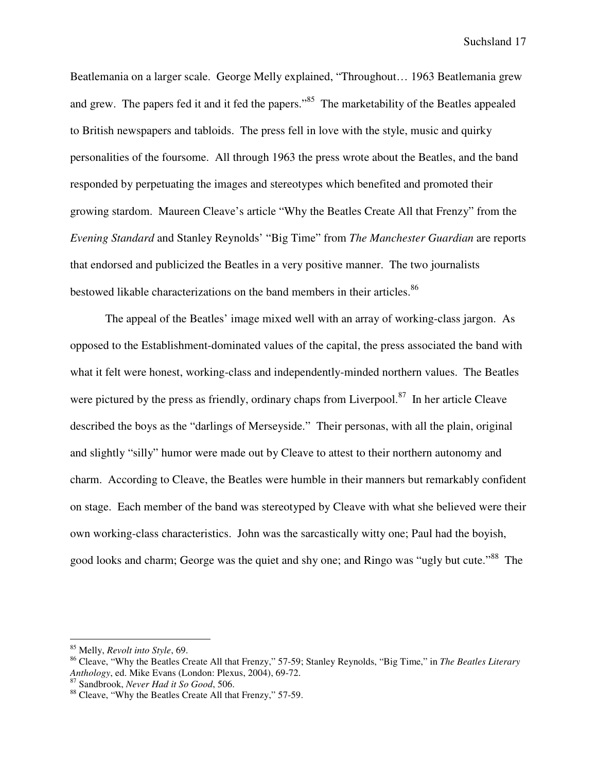Beatlemania on a larger scale. George Melly explained, "Throughout… 1963 Beatlemania grew and grew. The papers fed it and it fed the papers."<sup>85</sup> The marketability of the Beatles appealed to British newspapers and tabloids. The press fell in love with the style, music and quirky personalities of the foursome. All through 1963 the press wrote about the Beatles, and the band responded by perpetuating the images and stereotypes which benefited and promoted their growing stardom. Maureen Cleave's article "Why the Beatles Create All that Frenzy" from the *Evening Standard* and Stanley Reynolds' "Big Time" from *The Manchester Guardian* are reports that endorsed and publicized the Beatles in a very positive manner. The two journalists bestowed likable characterizations on the band members in their articles.<sup>86</sup>

The appeal of the Beatles' image mixed well with an array of working-class jargon. As opposed to the Establishment-dominated values of the capital, the press associated the band with what it felt were honest, working-class and independently-minded northern values. The Beatles were pictured by the press as friendly, ordinary chaps from Liverpool. $87$  In her article Cleave described the boys as the "darlings of Merseyside." Their personas, with all the plain, original and slightly "silly" humor were made out by Cleave to attest to their northern autonomy and charm. According to Cleave, the Beatles were humble in their manners but remarkably confident on stage. Each member of the band was stereotyped by Cleave with what she believed were their own working-class characteristics. John was the sarcastically witty one; Paul had the boyish, good looks and charm; George was the quiet and shy one; and Ringo was "ugly but cute."<sup>88</sup> The

<sup>85</sup> Melly, *Revolt into Style*, 69.

<sup>86</sup> Cleave, "Why the Beatles Create All that Frenzy," 57-59; Stanley Reynolds, "Big Time," in *The Beatles Literary Anthology*, ed. Mike Evans (London: Plexus, 2004), 69-72.

<sup>87</sup> Sandbrook, *Never Had it So Good*, 506.

<sup>&</sup>lt;sup>88</sup> Cleave, "Why the Beatles Create All that Frenzy," 57-59.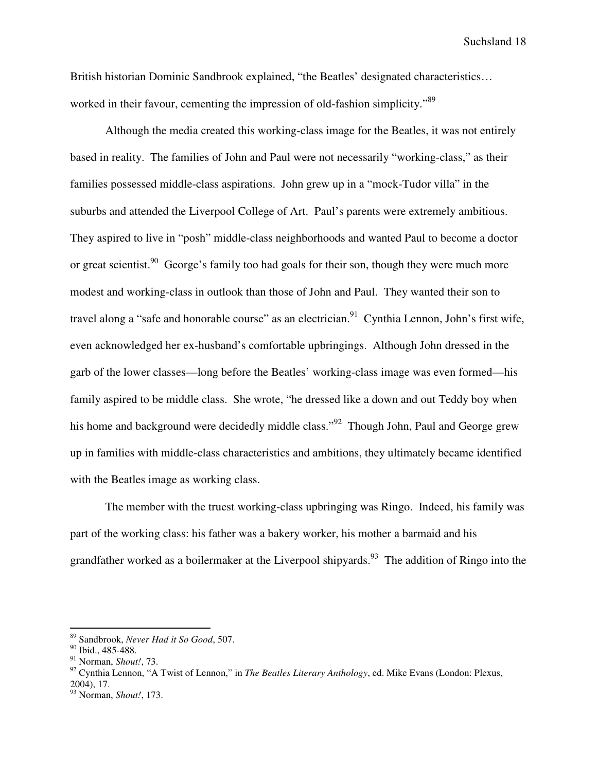British historian Dominic Sandbrook explained, "the Beatles' designated characteristics… worked in their favour, cementing the impression of old-fashion simplicity.<sup>89</sup>

Although the media created this working-class image for the Beatles, it was not entirely based in reality. The families of John and Paul were not necessarily "working-class," as their families possessed middle-class aspirations. John grew up in a "mock-Tudor villa" in the suburbs and attended the Liverpool College of Art. Paul's parents were extremely ambitious. They aspired to live in "posh" middle-class neighborhoods and wanted Paul to become a doctor or great scientist.<sup>90</sup> George's family too had goals for their son, though they were much more modest and working-class in outlook than those of John and Paul. They wanted their son to travel along a "safe and honorable course" as an electrician.<sup>91</sup> Cynthia Lennon, John's first wife, even acknowledged her ex-husband's comfortable upbringings. Although John dressed in the garb of the lower classes—long before the Beatles' working-class image was even formed—his family aspired to be middle class. She wrote, "he dressed like a down and out Teddy boy when his home and background were decidedly middle class."<sup>92</sup> Though John, Paul and George grew up in families with middle-class characteristics and ambitions, they ultimately became identified with the Beatles image as working class.

The member with the truest working-class upbringing was Ringo. Indeed, his family was part of the working class: his father was a bakery worker, his mother a barmaid and his grandfather worked as a boilermaker at the Liverpool shipyards.<sup>93</sup> The addition of Ringo into the

<sup>89</sup> Sandbrook, *Never Had it So Good*, 507.

 $90$  Ibid., 485-488.

<sup>91</sup> Norman, *Shout!*, 73.

<sup>92</sup> Cynthia Lennon, "A Twist of Lennon," in *The Beatles Literary Anthology*, ed. Mike Evans (London: Plexus, 2004), 17.

<sup>93</sup> Norman, *Shout!*, 173.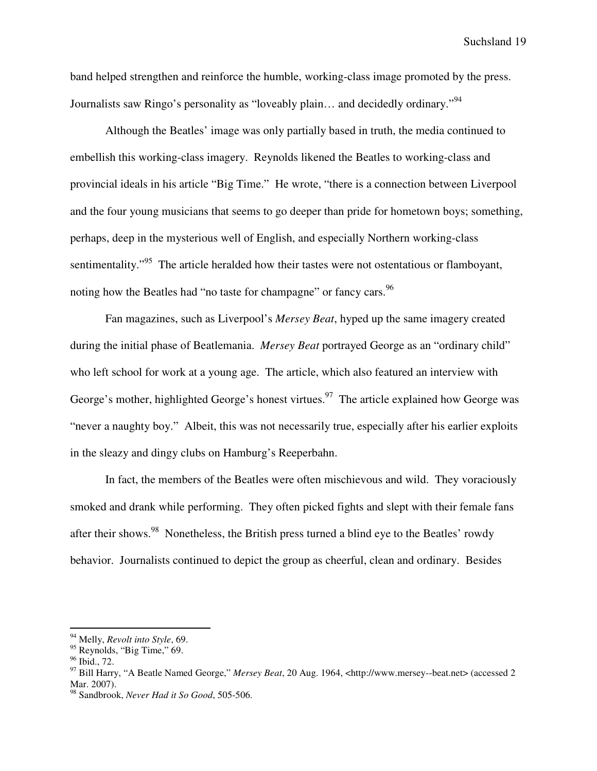band helped strengthen and reinforce the humble, working-class image promoted by the press. Journalists saw Ringo's personality as "loveably plain... and decidedly ordinary."<sup>94</sup>

Although the Beatles' image was only partially based in truth, the media continued to embellish this working-class imagery. Reynolds likened the Beatles to working-class and provincial ideals in his article "Big Time." He wrote, "there is a connection between Liverpool and the four young musicians that seems to go deeper than pride for hometown boys; something, perhaps, deep in the mysterious well of English, and especially Northern working-class sentimentality."<sup>95</sup> The article heralded how their tastes were not ostentatious or flamboyant, noting how the Beatles had "no taste for champagne" or fancy cars.<sup>96</sup>

Fan magazines, such as Liverpool's *Mersey Beat*, hyped up the same imagery created during the initial phase of Beatlemania. *Mersey Beat* portrayed George as an "ordinary child" who left school for work at a young age. The article, which also featured an interview with George's mother, highlighted George's honest virtues.<sup>97</sup> The article explained how George was "never a naughty boy." Albeit, this was not necessarily true, especially after his earlier exploits in the sleazy and dingy clubs on Hamburg's Reeperbahn.

In fact, the members of the Beatles were often mischievous and wild. They voraciously smoked and drank while performing. They often picked fights and slept with their female fans after their shows.<sup>98</sup> Nonetheless, the British press turned a blind eye to the Beatles' rowdy behavior. Journalists continued to depict the group as cheerful, clean and ordinary. Besides

<sup>94</sup> Melly, *Revolt into Style*, 69.

<sup>&</sup>lt;sup>95</sup> Reynolds, "Big Time," 69.

<sup>&</sup>lt;sup>96</sup> Ibid., 72.

<sup>97</sup> Bill Harry, "A Beatle Named George," *Mersey Beat*, 20 Aug. 1964, <http://www.mersey--beat.net> (accessed 2 Mar. 2007).

<sup>98</sup> Sandbrook, *Never Had it So Good*, 505-506.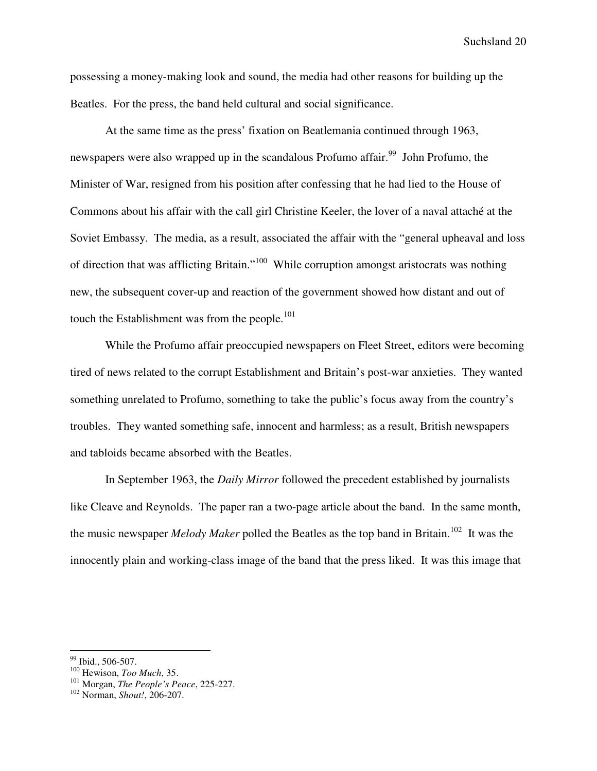possessing a money-making look and sound, the media had other reasons for building up the Beatles. For the press, the band held cultural and social significance.

At the same time as the press' fixation on Beatlemania continued through 1963, newspapers were also wrapped up in the scandalous Profumo affair.<sup>99</sup> John Profumo, the Minister of War, resigned from his position after confessing that he had lied to the House of Commons about his affair with the call girl Christine Keeler, the lover of a naval attaché at the Soviet Embassy. The media, as a result, associated the affair with the "general upheaval and loss of direction that was afflicting Britain."<sup>100</sup> While corruption amongst aristocrats was nothing new, the subsequent cover-up and reaction of the government showed how distant and out of touch the Establishment was from the people.<sup>101</sup>

While the Profumo affair preoccupied newspapers on Fleet Street, editors were becoming tired of news related to the corrupt Establishment and Britain's post-war anxieties. They wanted something unrelated to Profumo, something to take the public's focus away from the country's troubles. They wanted something safe, innocent and harmless; as a result, British newspapers and tabloids became absorbed with the Beatles.

In September 1963, the *Daily Mirror* followed the precedent established by journalists like Cleave and Reynolds. The paper ran a two-page article about the band. In the same month, the music newspaper *Melody Maker* polled the Beatles as the top band in Britain.<sup>102</sup> It was the innocently plain and working-class image of the band that the press liked. It was this image that

<sup>&</sup>lt;sup>99</sup> Ibid., 506-507.

<sup>100</sup> Hewison, *Too Much*, 35.

<sup>101</sup> Morgan, *The People's Peace*, 225-227.

<sup>102</sup> Norman, *Shout!*, 206-207.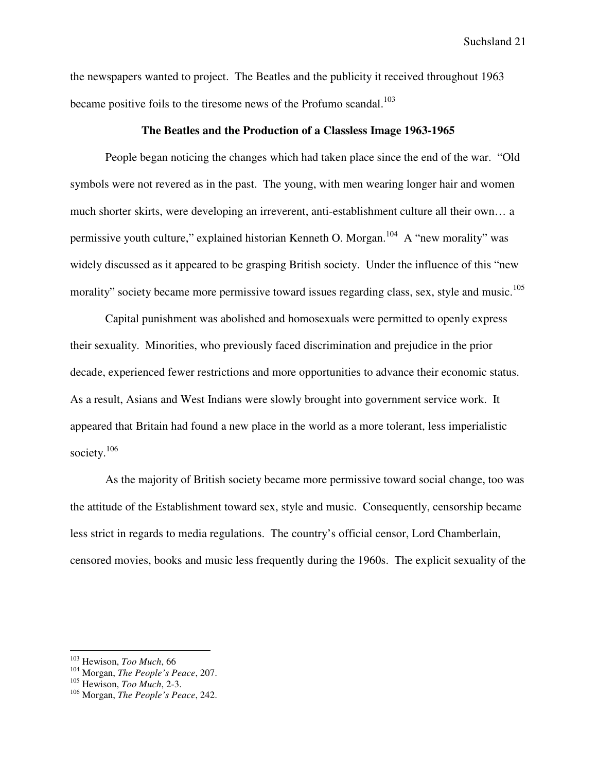the newspapers wanted to project. The Beatles and the publicity it received throughout 1963 became positive foils to the tiresome news of the Profumo scandal.<sup>103</sup>

# **The Beatles and the Production of a Classless Image 1963-1965**

People began noticing the changes which had taken place since the end of the war. "Old symbols were not revered as in the past. The young, with men wearing longer hair and women much shorter skirts, were developing an irreverent, anti-establishment culture all their own… a permissive youth culture," explained historian Kenneth O. Morgan.<sup>104</sup> A "new morality" was widely discussed as it appeared to be grasping British society. Under the influence of this "new morality" society became more permissive toward issues regarding class, sex, style and music.<sup>105</sup>

Capital punishment was abolished and homosexuals were permitted to openly express their sexuality. Minorities, who previously faced discrimination and prejudice in the prior decade, experienced fewer restrictions and more opportunities to advance their economic status. As a result, Asians and West Indians were slowly brought into government service work. It appeared that Britain had found a new place in the world as a more tolerant, less imperialistic society. $106$ 

As the majority of British society became more permissive toward social change, too was the attitude of the Establishment toward sex, style and music. Consequently, censorship became less strict in regards to media regulations. The country's official censor, Lord Chamberlain, censored movies, books and music less frequently during the 1960s. The explicit sexuality of the

<sup>103</sup> Hewison, *Too Much*, 66

<sup>104</sup> Morgan, *The People's Peace*, 207.

<sup>105</sup> Hewison, *Too Much*, 2-3.

<sup>106</sup> Morgan, *The People's Peace*, 242.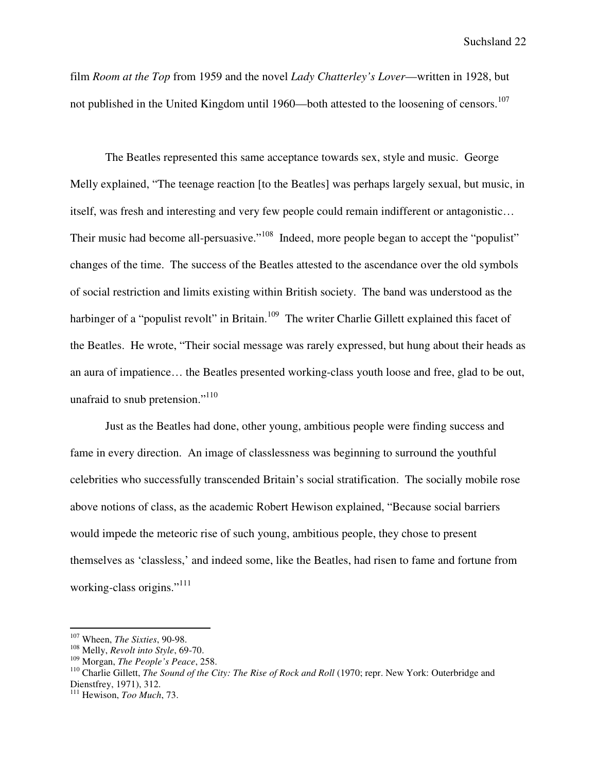film *Room at the Top* from 1959 and the novel *Lady Chatterley's Lover*—written in 1928, but not published in the United Kingdom until 1960—both attested to the loosening of censors.<sup>107</sup>

The Beatles represented this same acceptance towards sex, style and music. George Melly explained, "The teenage reaction [to the Beatles] was perhaps largely sexual, but music, in itself, was fresh and interesting and very few people could remain indifferent or antagonistic… Their music had become all-persuasive."<sup>108</sup> Indeed, more people began to accept the "populist" changes of the time. The success of the Beatles attested to the ascendance over the old symbols of social restriction and limits existing within British society. The band was understood as the harbinger of a "populist revolt" in Britain.<sup>109</sup> The writer Charlie Gillett explained this facet of the Beatles. He wrote, "Their social message was rarely expressed, but hung about their heads as an aura of impatience… the Beatles presented working-class youth loose and free, glad to be out, unafraid to snub pretension."<sup>110</sup>

Just as the Beatles had done, other young, ambitious people were finding success and fame in every direction. An image of classlessness was beginning to surround the youthful celebrities who successfully transcended Britain's social stratification. The socially mobile rose above notions of class, as the academic Robert Hewison explained, "Because social barriers would impede the meteoric rise of such young, ambitious people, they chose to present themselves as 'classless,' and indeed some, like the Beatles, had risen to fame and fortune from working-class origins."<sup>111</sup>

<sup>107</sup> Wheen, *The Sixties*, 90-98.

<sup>108</sup> Melly, *Revolt into Style*, 69-70.

<sup>109</sup> Morgan, *The People's Peace*, 258.

<sup>&</sup>lt;sup>110</sup> Charlie Gillett, *The Sound of the City: The Rise of Rock and Roll* (1970; repr. New York: Outerbridge and Dienstfrey, 1971), 312.

<sup>111</sup> Hewison, *Too Much*, 73.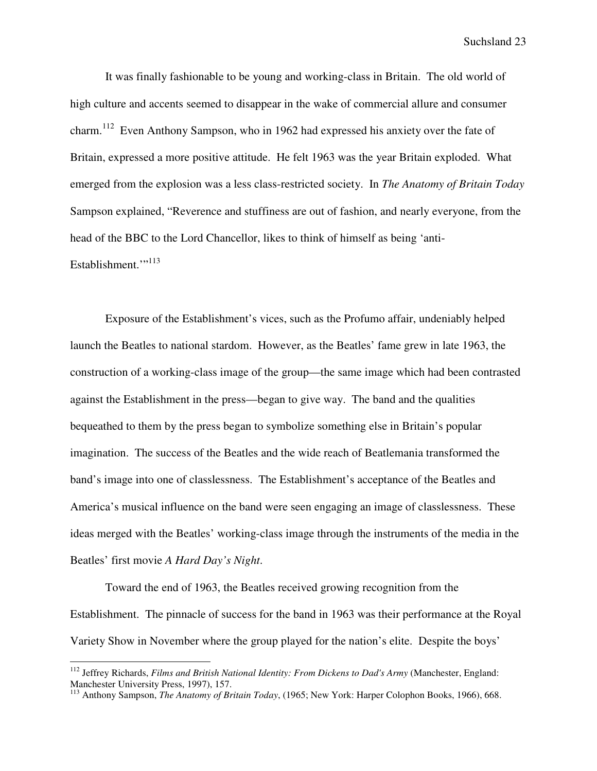It was finally fashionable to be young and working-class in Britain. The old world of high culture and accents seemed to disappear in the wake of commercial allure and consumer charm.<sup>112</sup> Even Anthony Sampson, who in 1962 had expressed his anxiety over the fate of Britain, expressed a more positive attitude. He felt 1963 was the year Britain exploded. What emerged from the explosion was a less class-restricted society. In *The Anatomy of Britain Today* Sampson explained, "Reverence and stuffiness are out of fashion, and nearly everyone, from the head of the BBC to the Lord Chancellor, likes to think of himself as being 'anti-Establishment."<sup>113</sup>

Exposure of the Establishment's vices, such as the Profumo affair, undeniably helped launch the Beatles to national stardom. However, as the Beatles' fame grew in late 1963, the construction of a working-class image of the group—the same image which had been contrasted against the Establishment in the press—began to give way. The band and the qualities bequeathed to them by the press began to symbolize something else in Britain's popular imagination. The success of the Beatles and the wide reach of Beatlemania transformed the band's image into one of classlessness. The Establishment's acceptance of the Beatles and America's musical influence on the band were seen engaging an image of classlessness. These ideas merged with the Beatles' working-class image through the instruments of the media in the Beatles' first movie *A Hard Day's Night*.

Toward the end of 1963, the Beatles received growing recognition from the Establishment. The pinnacle of success for the band in 1963 was their performance at the Royal Variety Show in November where the group played for the nation's elite. Despite the boys'

<sup>&</sup>lt;sup>112</sup> Jeffrey Richards, *Films and British National Identity: From Dickens to Dad's Army* (Manchester, England: Manchester University Press, 1997), 157.

<sup>113</sup> Anthony Sampson, *The Anatomy of Britain Today*, (1965; New York: Harper Colophon Books, 1966), 668.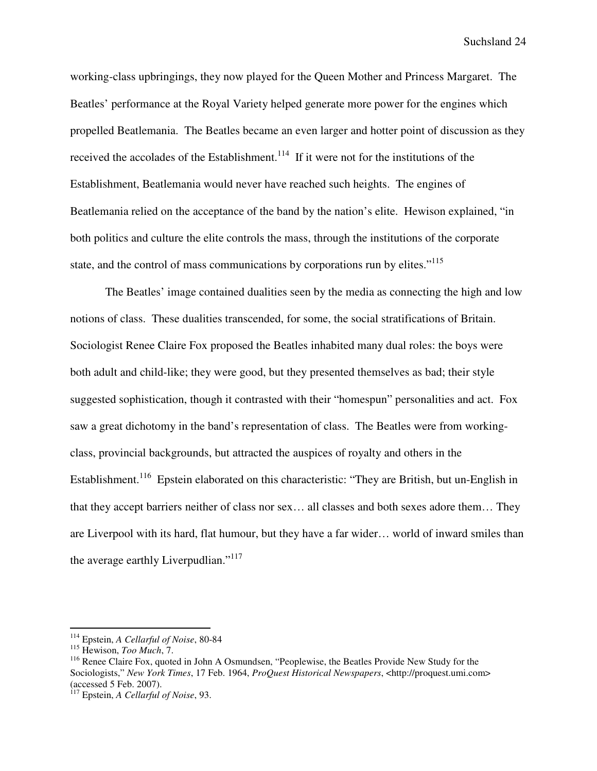working-class upbringings, they now played for the Queen Mother and Princess Margaret. The Beatles' performance at the Royal Variety helped generate more power for the engines which propelled Beatlemania. The Beatles became an even larger and hotter point of discussion as they received the accolades of the Establishment.<sup>114</sup> If it were not for the institutions of the Establishment, Beatlemania would never have reached such heights. The engines of Beatlemania relied on the acceptance of the band by the nation's elite. Hewison explained, "in both politics and culture the elite controls the mass, through the institutions of the corporate state, and the control of mass communications by corporations run by elites."<sup>115</sup>

The Beatles' image contained dualities seen by the media as connecting the high and low notions of class. These dualities transcended, for some, the social stratifications of Britain. Sociologist Renee Claire Fox proposed the Beatles inhabited many dual roles: the boys were both adult and child-like; they were good, but they presented themselves as bad; their style suggested sophistication, though it contrasted with their "homespun" personalities and act. Fox saw a great dichotomy in the band's representation of class. The Beatles were from workingclass, provincial backgrounds, but attracted the auspices of royalty and others in the Establishment.<sup>116</sup> Epstein elaborated on this characteristic: "They are British, but un-English in that they accept barriers neither of class nor sex… all classes and both sexes adore them… They are Liverpool with its hard, flat humour, but they have a far wider… world of inward smiles than the average earthly Liverpudlian."<sup>117</sup>

<sup>114</sup> Epstein, *A Cellarful of Noise*, 80-84

<sup>115</sup> Hewison, *Too Much*, 7.

<sup>&</sup>lt;sup>116</sup> Renee Claire Fox, quoted in John A Osmundsen, "Peoplewise, the Beatles Provide New Study for the Sociologists," *New York Times*, 17 Feb. 1964, *ProQuest Historical Newspapers*, <http://proquest.umi.com> (accessed 5 Feb. 2007).

<sup>117</sup> Epstein, *A Cellarful of Noise*, 93.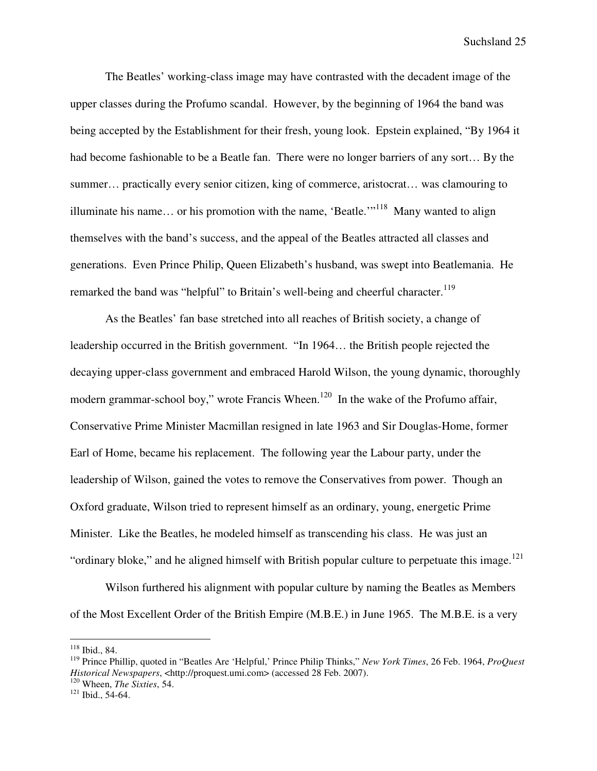The Beatles' working-class image may have contrasted with the decadent image of the upper classes during the Profumo scandal. However, by the beginning of 1964 the band was being accepted by the Establishment for their fresh, young look. Epstein explained, "By 1964 it had become fashionable to be a Beatle fan. There were no longer barriers of any sort… By the summer… practically every senior citizen, king of commerce, aristocrat… was clamouring to illuminate his name... or his promotion with the name, 'Beatle.'<sup> $118$ </sup> Many wanted to align themselves with the band's success, and the appeal of the Beatles attracted all classes and generations. Even Prince Philip, Queen Elizabeth's husband, was swept into Beatlemania. He remarked the band was "helpful" to Britain's well-being and cheerful character.<sup>119</sup>

As the Beatles' fan base stretched into all reaches of British society, a change of leadership occurred in the British government. "In 1964… the British people rejected the decaying upper-class government and embraced Harold Wilson, the young dynamic, thoroughly modern grammar-school boy," wrote Francis Wheen.<sup>120</sup> In the wake of the Profumo affair, Conservative Prime Minister Macmillan resigned in late 1963 and Sir Douglas-Home, former Earl of Home, became his replacement. The following year the Labour party, under the leadership of Wilson, gained the votes to remove the Conservatives from power. Though an Oxford graduate, Wilson tried to represent himself as an ordinary, young, energetic Prime Minister. Like the Beatles, he modeled himself as transcending his class. He was just an "ordinary bloke," and he aligned himself with British popular culture to perpetuate this image.<sup>121</sup>

Wilson furthered his alignment with popular culture by naming the Beatles as Members of the Most Excellent Order of the British Empire (M.B.E.) in June 1965. The M.B.E. is a very

 $\overline{a}$ 

<sup>120</sup> Wheen, *The Sixties*, 54.

<sup>118</sup> Ibid., 84.

<sup>119</sup> Prince Phillip, quoted in "Beatles Are 'Helpful,' Prince Philip Thinks," *New York Times*, 26 Feb. 1964, *ProQuest Historical Newspapers*, <http://proquest.umi.com> (accessed 28 Feb. 2007).

<sup>121</sup> Ibid., 54-64.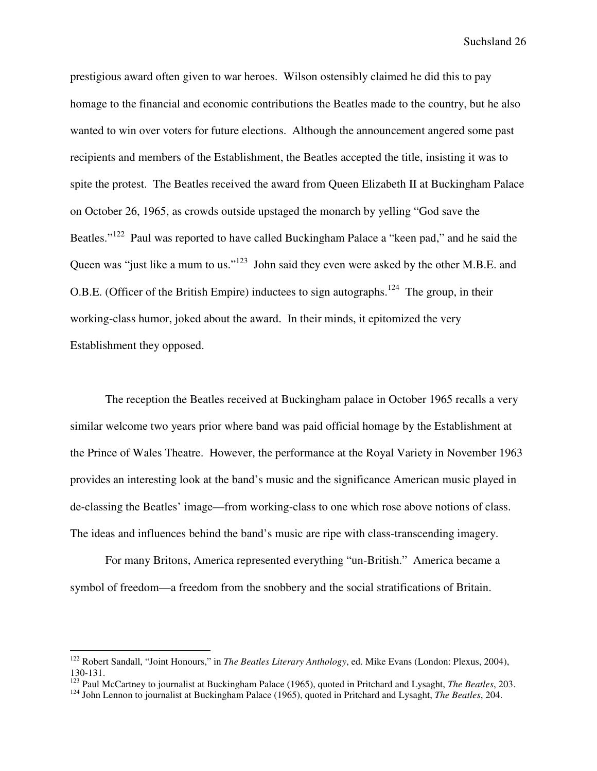prestigious award often given to war heroes. Wilson ostensibly claimed he did this to pay homage to the financial and economic contributions the Beatles made to the country, but he also wanted to win over voters for future elections. Although the announcement angered some past recipients and members of the Establishment, the Beatles accepted the title, insisting it was to spite the protest. The Beatles received the award from Queen Elizabeth II at Buckingham Palace on October 26, 1965, as crowds outside upstaged the monarch by yelling "God save the Beatles."<sup>122</sup> Paul was reported to have called Buckingham Palace a "keen pad," and he said the Queen was "just like a mum to us."<sup>123</sup> John said they even were asked by the other M.B.E. and O.B.E. (Officer of the British Empire) inductees to sign autographs.<sup>124</sup> The group, in their working-class humor, joked about the award. In their minds, it epitomized the very Establishment they opposed.

The reception the Beatles received at Buckingham palace in October 1965 recalls a very similar welcome two years prior where band was paid official homage by the Establishment at the Prince of Wales Theatre. However, the performance at the Royal Variety in November 1963 provides an interesting look at the band's music and the significance American music played in de-classing the Beatles' image—from working-class to one which rose above notions of class. The ideas and influences behind the band's music are ripe with class-transcending imagery.

For many Britons, America represented everything "un-British." America became a symbol of freedom—a freedom from the snobbery and the social stratifications of Britain.

<sup>122</sup> Robert Sandall, "Joint Honours," in *The Beatles Literary Anthology*, ed. Mike Evans (London: Plexus, 2004), 130-131.

<sup>123</sup> Paul McCartney to journalist at Buckingham Palace (1965), quoted in Pritchard and Lysaght, *The Beatles*, 203.

<sup>124</sup> John Lennon to journalist at Buckingham Palace (1965), quoted in Pritchard and Lysaght, *The Beatles*, 204.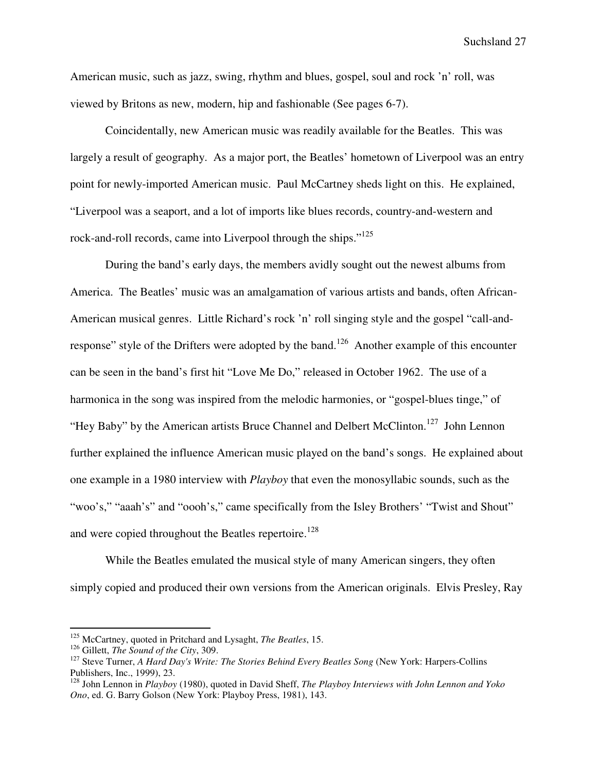American music, such as jazz, swing, rhythm and blues, gospel, soul and rock 'n' roll, was viewed by Britons as new, modern, hip and fashionable (See pages 6-7).

Coincidentally, new American music was readily available for the Beatles. This was largely a result of geography. As a major port, the Beatles' hometown of Liverpool was an entry point for newly-imported American music. Paul McCartney sheds light on this. He explained, "Liverpool was a seaport, and a lot of imports like blues records, country-and-western and rock-and-roll records, came into Liverpool through the ships."<sup>125</sup>

During the band's early days, the members avidly sought out the newest albums from America. The Beatles' music was an amalgamation of various artists and bands, often African-American musical genres. Little Richard's rock 'n' roll singing style and the gospel "call-andresponse" style of the Drifters were adopted by the band.<sup>126</sup> Another example of this encounter can be seen in the band's first hit "Love Me Do," released in October 1962. The use of a harmonica in the song was inspired from the melodic harmonies, or "gospel-blues tinge," of "Hey Baby" by the American artists Bruce Channel and Delbert McClinton.<sup>127</sup> John Lennon further explained the influence American music played on the band's songs. He explained about one example in a 1980 interview with *Playboy* that even the monosyllabic sounds, such as the "woo's," "aaah's" and "oooh's," came specifically from the Isley Brothers' "Twist and Shout" and were copied throughout the Beatles repertoire.<sup>128</sup>

While the Beatles emulated the musical style of many American singers, they often simply copied and produced their own versions from the American originals. Elvis Presley, Ray

<sup>125</sup> McCartney, quoted in Pritchard and Lysaght, *The Beatles*, 15.

<sup>126</sup> Gillett, *The Sound of the City*, 309.

<sup>127</sup> Steve Turner, *A Hard Day's Write: The Stories Behind Every Beatles Song* (New York: Harpers-Collins Publishers, Inc., 1999), 23.

<sup>128</sup> John Lennon in *Playboy* (1980), quoted in David Sheff, *The Playboy Interviews with John Lennon and Yoko Ono*, ed. G. Barry Golson (New York: Playboy Press, 1981), 143.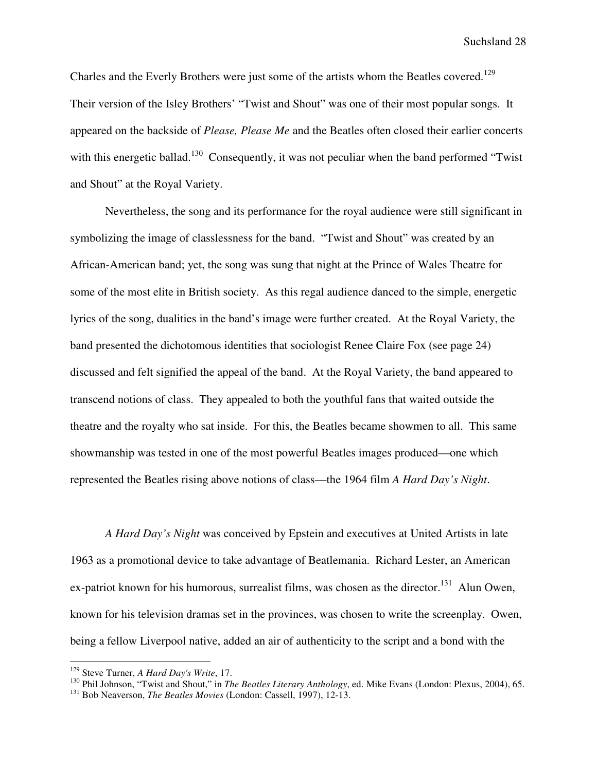Charles and the Everly Brothers were just some of the artists whom the Beatles covered.<sup>129</sup> Their version of the Isley Brothers' "Twist and Shout" was one of their most popular songs. It appeared on the backside of *Please, Please Me* and the Beatles often closed their earlier concerts with this energetic ballad.<sup>130</sup> Consequently, it was not peculiar when the band performed "Twist" and Shout" at the Royal Variety.

Nevertheless, the song and its performance for the royal audience were still significant in symbolizing the image of classlessness for the band. "Twist and Shout" was created by an African-American band; yet, the song was sung that night at the Prince of Wales Theatre for some of the most elite in British society. As this regal audience danced to the simple, energetic lyrics of the song, dualities in the band's image were further created. At the Royal Variety, the band presented the dichotomous identities that sociologist Renee Claire Fox (see page 24) discussed and felt signified the appeal of the band. At the Royal Variety, the band appeared to transcend notions of class. They appealed to both the youthful fans that waited outside the theatre and the royalty who sat inside. For this, the Beatles became showmen to all. This same showmanship was tested in one of the most powerful Beatles images produced—one which represented the Beatles rising above notions of class—the 1964 film *A Hard Day's Night*.

*A Hard Day's Night* was conceived by Epstein and executives at United Artists in late 1963 as a promotional device to take advantage of Beatlemania. Richard Lester, an American ex-patriot known for his humorous, surrealist films, was chosen as the director.<sup>131</sup> Alun Owen, known for his television dramas set in the provinces, was chosen to write the screenplay. Owen, being a fellow Liverpool native, added an air of authenticity to the script and a bond with the

<sup>129</sup> Steve Turner, *A Hard Day's Write*, 17.

<sup>130</sup> Phil Johnson, "Twist and Shout," in *The Beatles Literary Anthology*, ed. Mike Evans (London: Plexus, 2004), 65.

<sup>131</sup> Bob Neaverson, *The Beatles Movies* (London: Cassell, 1997), 12-13.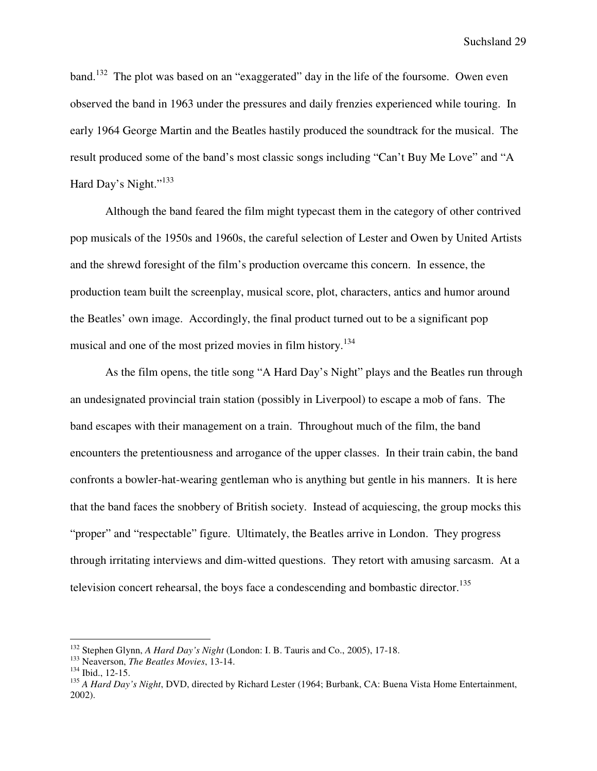band.<sup>132</sup> The plot was based on an "exaggerated" day in the life of the foursome. Owen even observed the band in 1963 under the pressures and daily frenzies experienced while touring. In early 1964 George Martin and the Beatles hastily produced the soundtrack for the musical. The result produced some of the band's most classic songs including "Can't Buy Me Love" and "A Hard Day's Night."<sup>133</sup>

Although the band feared the film might typecast them in the category of other contrived pop musicals of the 1950s and 1960s, the careful selection of Lester and Owen by United Artists and the shrewd foresight of the film's production overcame this concern. In essence, the production team built the screenplay, musical score, plot, characters, antics and humor around the Beatles' own image. Accordingly, the final product turned out to be a significant pop musical and one of the most prized movies in film history.<sup>134</sup>

As the film opens, the title song "A Hard Day's Night" plays and the Beatles run through an undesignated provincial train station (possibly in Liverpool) to escape a mob of fans. The band escapes with their management on a train. Throughout much of the film, the band encounters the pretentiousness and arrogance of the upper classes. In their train cabin, the band confronts a bowler-hat-wearing gentleman who is anything but gentle in his manners. It is here that the band faces the snobbery of British society. Instead of acquiescing, the group mocks this "proper" and "respectable" figure. Ultimately, the Beatles arrive in London. They progress through irritating interviews and dim-witted questions. They retort with amusing sarcasm. At a television concert rehearsal, the boys face a condescending and bombastic director.<sup>135</sup>

<sup>132</sup> Stephen Glynn, *A Hard Day's Night* (London: I. B. Tauris and Co., 2005), 17-18.

<sup>133</sup> Neaverson, *The Beatles Movies*, 13-14.

<sup>134</sup> Ibid., 12-15.

<sup>135</sup> *A Hard Day's Night*, DVD, directed by Richard Lester (1964; Burbank, CA: Buena Vista Home Entertainment, 2002).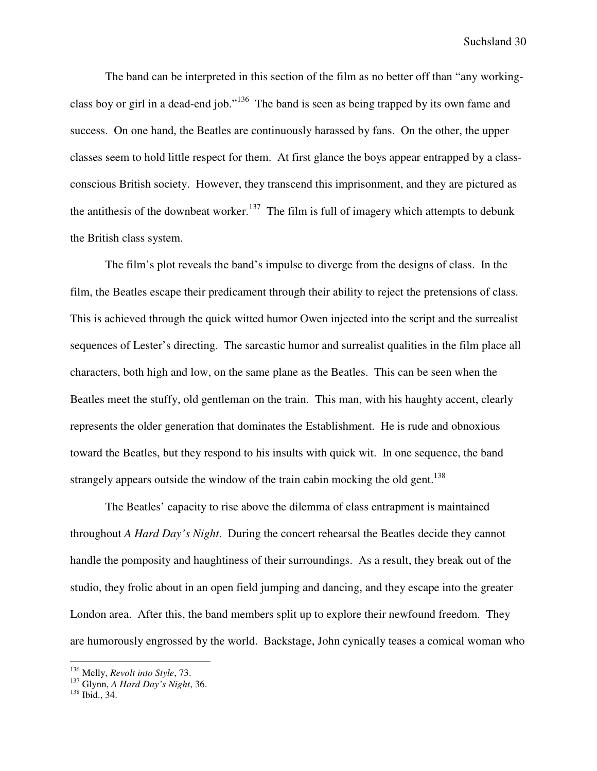The band can be interpreted in this section of the film as no better off than "any workingclass boy or girl in a dead-end job."<sup>136</sup> The band is seen as being trapped by its own fame and success. On one hand, the Beatles are continuously harassed by fans. On the other, the upper classes seem to hold little respect for them. At first glance the boys appear entrapped by a classconscious British society. However, they transcend this imprisonment, and they are pictured as the antithesis of the downbeat worker.<sup>137</sup> The film is full of imagery which attempts to debunk the British class system.

The film's plot reveals the band's impulse to diverge from the designs of class. In the film, the Beatles escape their predicament through their ability to reject the pretensions of class. This is achieved through the quick witted humor Owen injected into the script and the surrealist sequences of Lester's directing. The sarcastic humor and surrealist qualities in the film place all characters, both high and low, on the same plane as the Beatles. This can be seen when the Beatles meet the stuffy, old gentleman on the train. This man, with his haughty accent, clearly represents the older generation that dominates the Establishment. He is rude and obnoxious toward the Beatles, but they respond to his insults with quick wit. In one sequence, the band strangely appears outside the window of the train cabin mocking the old gent.<sup>138</sup>

The Beatles' capacity to rise above the dilemma of class entrapment is maintained throughout *A Hard Day's Night*. During the concert rehearsal the Beatles decide they cannot handle the pomposity and haughtiness of their surroundings. As a result, they break out of the studio, they frolic about in an open field jumping and dancing, and they escape into the greater London area. After this, the band members split up to explore their newfound freedom. They are humorously engrossed by the world. Backstage, John cynically teases a comical woman who

<sup>136</sup> Melly, *Revolt into Style*, 73.

<sup>137</sup> Glynn, *A Hard Day's Night*, 36.

<sup>138</sup> Ibid., 34.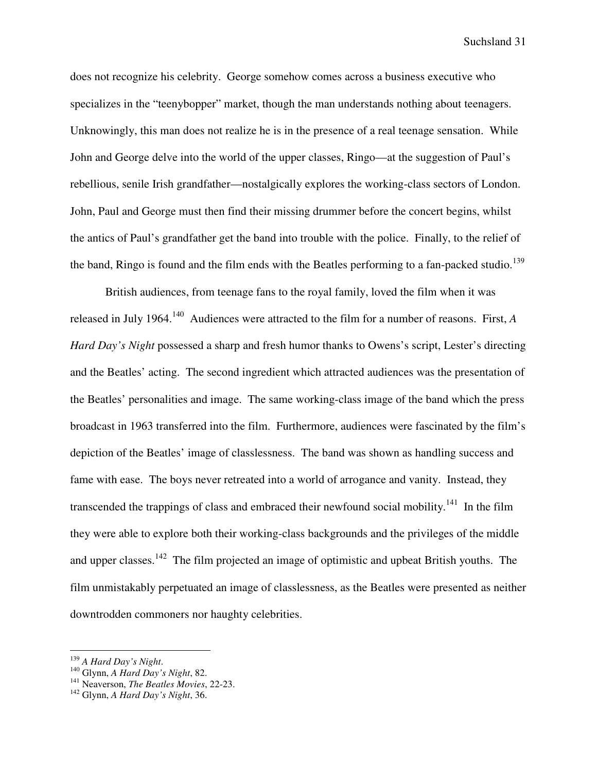does not recognize his celebrity. George somehow comes across a business executive who specializes in the "teenybopper" market, though the man understands nothing about teenagers. Unknowingly, this man does not realize he is in the presence of a real teenage sensation. While John and George delve into the world of the upper classes, Ringo—at the suggestion of Paul's rebellious, senile Irish grandfather—nostalgically explores the working-class sectors of London. John, Paul and George must then find their missing drummer before the concert begins, whilst the antics of Paul's grandfather get the band into trouble with the police. Finally, to the relief of the band, Ringo is found and the film ends with the Beatles performing to a fan-packed studio.<sup>139</sup>

British audiences, from teenage fans to the royal family, loved the film when it was released in July 1964.<sup>140</sup> Audiences were attracted to the film for a number of reasons. First, *A Hard Day's Night* possessed a sharp and fresh humor thanks to Owens's script, Lester's directing and the Beatles' acting. The second ingredient which attracted audiences was the presentation of the Beatles' personalities and image. The same working-class image of the band which the press broadcast in 1963 transferred into the film. Furthermore, audiences were fascinated by the film's depiction of the Beatles' image of classlessness. The band was shown as handling success and fame with ease. The boys never retreated into a world of arrogance and vanity. Instead, they transcended the trappings of class and embraced their newfound social mobility.<sup>141</sup> In the film they were able to explore both their working-class backgrounds and the privileges of the middle and upper classes.<sup>142</sup> The film projected an image of optimistic and upbeat British youths. The film unmistakably perpetuated an image of classlessness, as the Beatles were presented as neither downtrodden commoners nor haughty celebrities.

<sup>139</sup> *A Hard Day's Night*.

<sup>140</sup> Glynn, *A Hard Day's Night*, 82.

<sup>141</sup> Neaverson, *The Beatles Movies*, 22-23.

<sup>142</sup> Glynn, *A Hard Day's Night*, 36.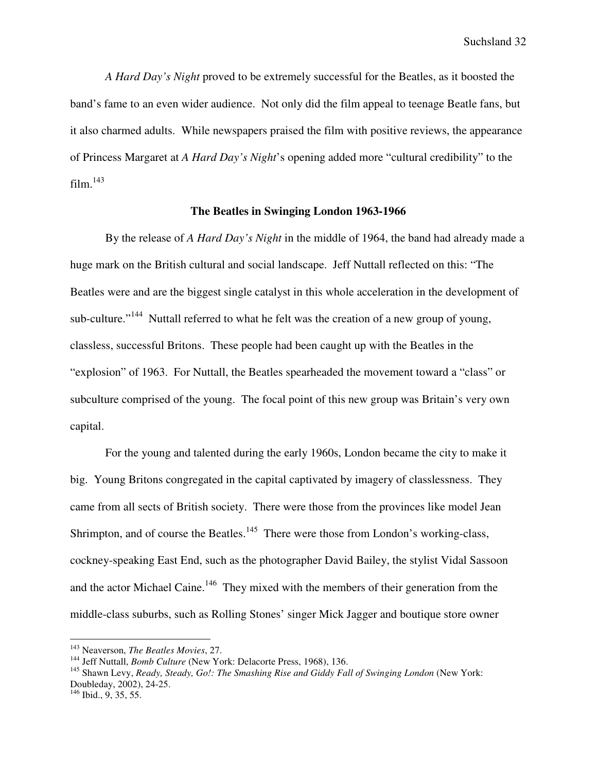*A Hard Day's Night* proved to be extremely successful for the Beatles, as it boosted the band's fame to an even wider audience. Not only did the film appeal to teenage Beatle fans, but it also charmed adults. While newspapers praised the film with positive reviews, the appearance of Princess Margaret at *A Hard Day's Night*'s opening added more "cultural credibility" to the film. $^{143}$ 

# **The Beatles in Swinging London 1963-1966**

By the release of *A Hard Day's Night* in the middle of 1964, the band had already made a huge mark on the British cultural and social landscape. Jeff Nuttall reflected on this: "The Beatles were and are the biggest single catalyst in this whole acceleration in the development of sub-culture."<sup>144</sup> Nuttall referred to what he felt was the creation of a new group of young, classless, successful Britons. These people had been caught up with the Beatles in the "explosion" of 1963. For Nuttall, the Beatles spearheaded the movement toward a "class" or subculture comprised of the young. The focal point of this new group was Britain's very own capital.

For the young and talented during the early 1960s, London became the city to make it big. Young Britons congregated in the capital captivated by imagery of classlessness. They came from all sects of British society. There were those from the provinces like model Jean Shrimpton, and of course the Beatles.<sup>145</sup> There were those from London's working-class, cockney-speaking East End, such as the photographer David Bailey, the stylist Vidal Sassoon and the actor Michael Caine.<sup>146</sup> They mixed with the members of their generation from the middle-class suburbs, such as Rolling Stones' singer Mick Jagger and boutique store owner

<sup>143</sup> Neaverson, *The Beatles Movies*, 27.

<sup>&</sup>lt;sup>144</sup> Jeff Nuttall, *Bomb Culture* (New York: Delacorte Press, 1968), 136.

<sup>145</sup> Shawn Levy, *Ready, Steady, Go!: The Smashing Rise and Giddy Fall of Swinging London* (New York: Doubleday, 2002), 24-25.

 $146$  Ibid., 9, 35, 55.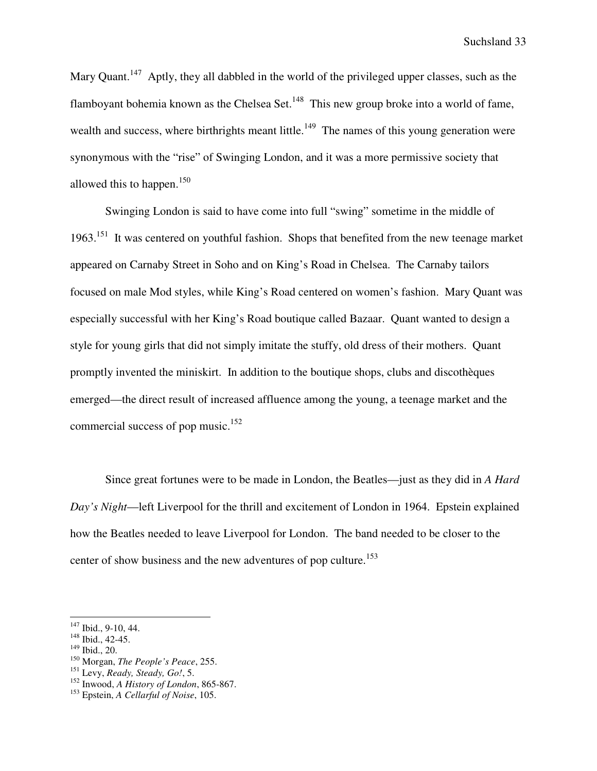Mary Quant.<sup>147</sup> Aptly, they all dabbled in the world of the privileged upper classes, such as the flamboyant bohemia known as the Chelsea Set.<sup>148</sup> This new group broke into a world of fame, wealth and success, where birthrights meant little.<sup>149</sup> The names of this young generation were synonymous with the "rise" of Swinging London, and it was a more permissive society that allowed this to happen. $150$ 

Swinging London is said to have come into full "swing" sometime in the middle of 1963.<sup>151</sup> It was centered on youthful fashion. Shops that benefited from the new teenage market appeared on Carnaby Street in Soho and on King's Road in Chelsea. The Carnaby tailors focused on male Mod styles, while King's Road centered on women's fashion. Mary Quant was especially successful with her King's Road boutique called Bazaar. Quant wanted to design a style for young girls that did not simply imitate the stuffy, old dress of their mothers. Quant promptly invented the miniskirt. In addition to the boutique shops, clubs and discothèques emerged—the direct result of increased affluence among the young, a teenage market and the commercial success of pop music. $152$ 

Since great fortunes were to be made in London, the Beatles—just as they did in *A Hard Day's Night*—left Liverpool for the thrill and excitement of London in 1964. Epstein explained how the Beatles needed to leave Liverpool for London. The band needed to be closer to the center of show business and the new adventures of pop culture.<sup>153</sup>

l

<sup>147</sup> Ibid., 9-10, 44.

<sup>148</sup> Ibid., 42-45.

 $149$  Ibid., 20.

<sup>150</sup> Morgan, *The People's Peace*, 255.

<sup>151</sup> Levy, *Ready, Steady, Go!*, 5.

<sup>152</sup> Inwood, *A History of London*, 865-867.

<sup>153</sup> Epstein, *A Cellarful of Noise*, 105.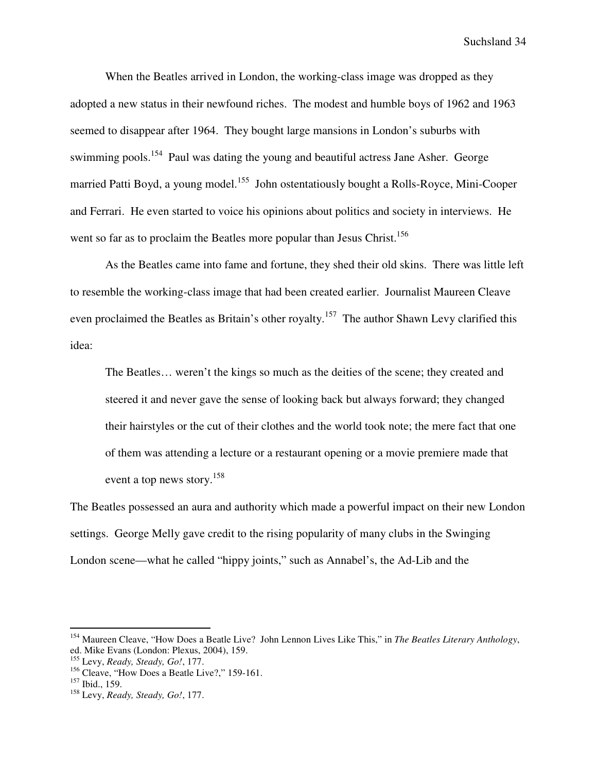When the Beatles arrived in London, the working-class image was dropped as they adopted a new status in their newfound riches. The modest and humble boys of 1962 and 1963 seemed to disappear after 1964. They bought large mansions in London's suburbs with swimming pools.<sup>154</sup> Paul was dating the young and beautiful actress Jane Asher. George married Patti Boyd, a young model.<sup>155</sup> John ostentatiously bought a Rolls-Royce, Mini-Cooper and Ferrari. He even started to voice his opinions about politics and society in interviews. He went so far as to proclaim the Beatles more popular than Jesus Christ.<sup>156</sup>

As the Beatles came into fame and fortune, they shed their old skins. There was little left to resemble the working-class image that had been created earlier. Journalist Maureen Cleave even proclaimed the Beatles as Britain's other royalty.<sup>157</sup> The author Shawn Levy clarified this idea:

The Beatles… weren't the kings so much as the deities of the scene; they created and steered it and never gave the sense of looking back but always forward; they changed their hairstyles or the cut of their clothes and the world took note; the mere fact that one of them was attending a lecture or a restaurant opening or a movie premiere made that event a top news story.<sup>158</sup>

The Beatles possessed an aura and authority which made a powerful impact on their new London settings. George Melly gave credit to the rising popularity of many clubs in the Swinging London scene—what he called "hippy joints," such as Annabel's, the Ad-Lib and the

<sup>154</sup> Maureen Cleave, "How Does a Beatle Live? John Lennon Lives Like This," in *The Beatles Literary Anthology*, ed. Mike Evans (London: Plexus, 2004), 159.

<sup>155</sup> Levy, *Ready, Steady, Go!*, 177.

<sup>&</sup>lt;sup>156</sup> Cleave, "How Does a Beatle Live?," 159-161.

<sup>157</sup> Ibid., 159.

<sup>158</sup> Levy, *Ready, Steady, Go!*, 177.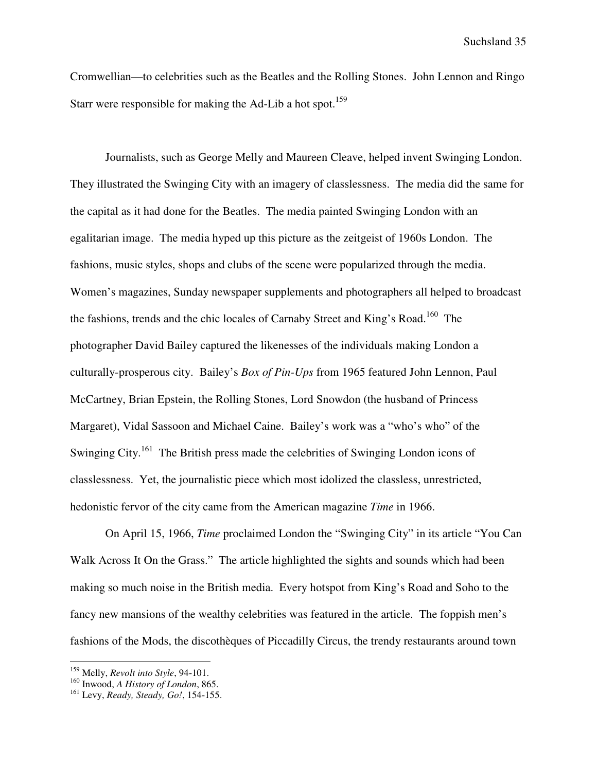Cromwellian—to celebrities such as the Beatles and the Rolling Stones. John Lennon and Ringo Starr were responsible for making the Ad-Lib a hot spot.<sup>159</sup>

Journalists, such as George Melly and Maureen Cleave, helped invent Swinging London. They illustrated the Swinging City with an imagery of classlessness. The media did the same for the capital as it had done for the Beatles. The media painted Swinging London with an egalitarian image. The media hyped up this picture as the zeitgeist of 1960s London. The fashions, music styles, shops and clubs of the scene were popularized through the media. Women's magazines, Sunday newspaper supplements and photographers all helped to broadcast the fashions, trends and the chic locales of Carnaby Street and King's Road.<sup>160</sup> The photographer David Bailey captured the likenesses of the individuals making London a culturally-prosperous city. Bailey's *Box of Pin-Ups* from 1965 featured John Lennon, Paul McCartney, Brian Epstein, the Rolling Stones, Lord Snowdon (the husband of Princess Margaret), Vidal Sassoon and Michael Caine. Bailey's work was a "who's who" of the Swinging City.<sup>161</sup> The British press made the celebrities of Swinging London icons of classlessness. Yet, the journalistic piece which most idolized the classless, unrestricted, hedonistic fervor of the city came from the American magazine *Time* in 1966.

On April 15, 1966, *Time* proclaimed London the "Swinging City" in its article "You Can Walk Across It On the Grass." The article highlighted the sights and sounds which had been making so much noise in the British media. Every hotspot from King's Road and Soho to the fancy new mansions of the wealthy celebrities was featured in the article. The foppish men's fashions of the Mods, the discothèques of Piccadilly Circus, the trendy restaurants around town

<sup>159</sup> Melly, *Revolt into Style*, 94-101.

<sup>160</sup> Inwood, *A History of London*, 865.

<sup>161</sup> Levy, *Ready, Steady, Go!*, 154-155.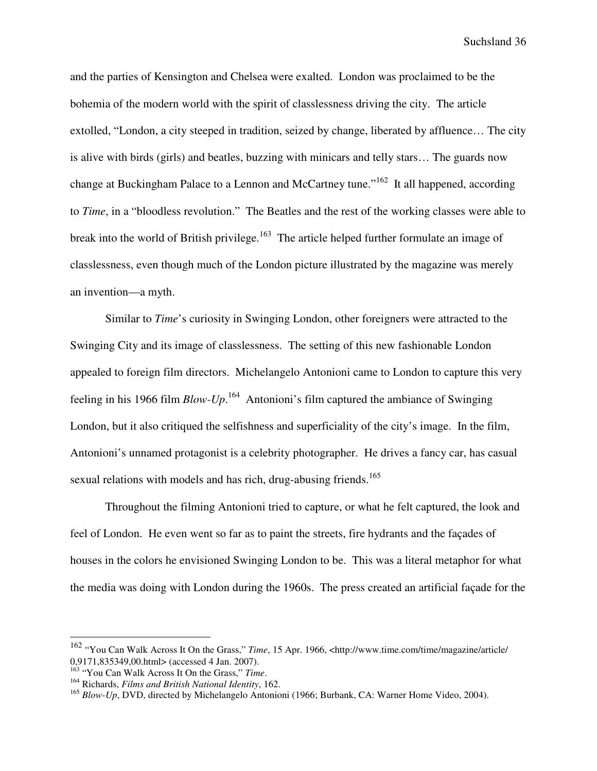and the parties of Kensington and Chelsea were exalted. London was proclaimed to be the bohemia of the modern world with the spirit of classlessness driving the city. The article extolled, "London, a city steeped in tradition, seized by change, liberated by affluence… The city is alive with birds (girls) and beatles, buzzing with minicars and telly stars… The guards now change at Buckingham Palace to a Lennon and McCartney tune."<sup>162</sup> It all happened, according to *Time*, in a "bloodless revolution." The Beatles and the rest of the working classes were able to break into the world of British privilege.<sup>163</sup> The article helped further formulate an image of classlessness, even though much of the London picture illustrated by the magazine was merely an invention—a myth.

Similar to *Time*'s curiosity in Swinging London, other foreigners were attracted to the Swinging City and its image of classlessness. The setting of this new fashionable London appealed to foreign film directors. Michelangelo Antonioni came to London to capture this very feeling in his 1966 film *Blow-Up*.<sup>164</sup> Antonioni's film captured the ambiance of Swinging London, but it also critiqued the selfishness and superficiality of the city's image. In the film, Antonioni's unnamed protagonist is a celebrity photographer. He drives a fancy car, has casual sexual relations with models and has rich, drug-abusing friends.<sup>165</sup>

Throughout the filming Antonioni tried to capture, or what he felt captured, the look and feel of London. He even went so far as to paint the streets, fire hydrants and the façades of houses in the colors he envisioned Swinging London to be. This was a literal metaphor for what the media was doing with London during the 1960s. The press created an artificial façade for the

<sup>162</sup> "You Can Walk Across It On the Grass," *Time*, 15 Apr. 1966, <http://www.time.com/time/magazine/article/ 0,9171,835349,00.html> (accessed 4 Jan. 2007).

<sup>163</sup> "You Can Walk Across It On the Grass," *Time*.

<sup>164</sup> Richards, *Films and British National Identity*, 162.

<sup>&</sup>lt;sup>165</sup> Blow-Up, DVD, directed by Michelangelo Antonioni (1966; Burbank, CA: Warner Home Video, 2004).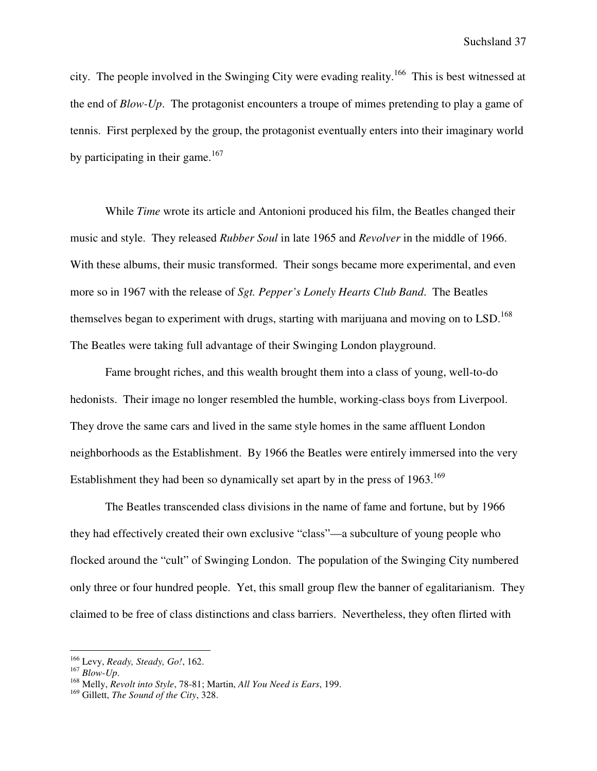city. The people involved in the Swinging City were evading reality.<sup>166</sup> This is best witnessed at the end of *Blow-Up*. The protagonist encounters a troupe of mimes pretending to play a game of tennis. First perplexed by the group, the protagonist eventually enters into their imaginary world by participating in their game. $167$ 

While *Time* wrote its article and Antonioni produced his film, the Beatles changed their music and style. They released *Rubber Soul* in late 1965 and *Revolver* in the middle of 1966. With these albums, their music transformed. Their songs became more experimental, and even more so in 1967 with the release of *Sgt. Pepper's Lonely Hearts Club Band*. The Beatles themselves began to experiment with drugs, starting with marijuana and moving on to LSD.<sup>168</sup> The Beatles were taking full advantage of their Swinging London playground.

Fame brought riches, and this wealth brought them into a class of young, well-to-do hedonists. Their image no longer resembled the humble, working-class boys from Liverpool. They drove the same cars and lived in the same style homes in the same affluent London neighborhoods as the Establishment. By 1966 the Beatles were entirely immersed into the very Establishment they had been so dynamically set apart by in the press of  $1963$ .<sup>169</sup>

The Beatles transcended class divisions in the name of fame and fortune, but by 1966 they had effectively created their own exclusive "class"—a subculture of young people who flocked around the "cult" of Swinging London. The population of the Swinging City numbered only three or four hundred people. Yet, this small group flew the banner of egalitarianism. They claimed to be free of class distinctions and class barriers. Nevertheless, they often flirted with

<sup>166</sup> Levy, *Ready, Steady, Go!*, 162.

<sup>167</sup> *Blow-Up*.

<sup>168</sup> Melly, *Revolt into Style*, 78-81; Martin, *All You Need is Ears*, 199.

<sup>169</sup> Gillett, *The Sound of the City*, 328.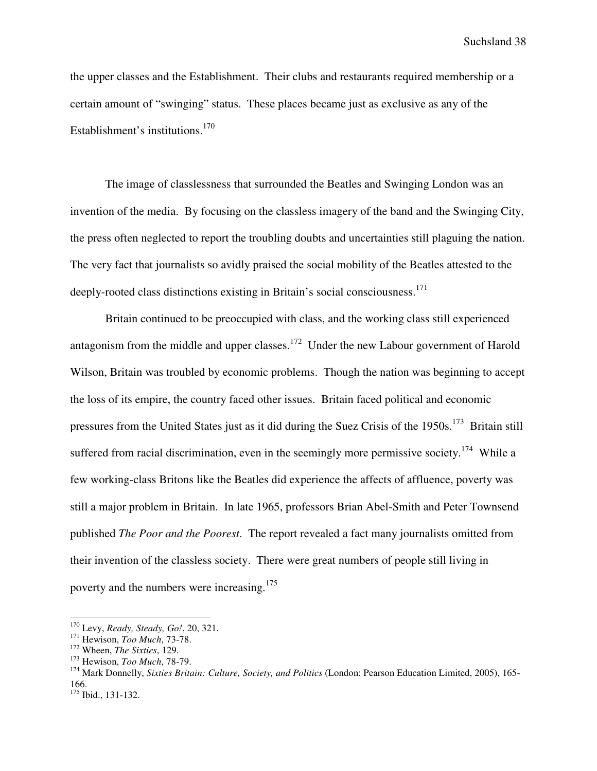the upper classes and the Establishment. Their clubs and restaurants required membership or a certain amount of "swinging" status. These places became just as exclusive as any of the Establishment's institutions.<sup>170</sup>

The image of classlessness that surrounded the Beatles and Swinging London was an invention of the media. By focusing on the classless imagery of the band and the Swinging City, the press often neglected to report the troubling doubts and uncertainties still plaguing the nation. The very fact that journalists so avidly praised the social mobility of the Beatles attested to the deeply-rooted class distinctions existing in Britain's social consciousness.<sup>171</sup>

Britain continued to be preoccupied with class, and the working class still experienced antagonism from the middle and upper classes.<sup>172</sup> Under the new Labour government of Harold Wilson, Britain was troubled by economic problems. Though the nation was beginning to accept the loss of its empire, the country faced other issues. Britain faced political and economic pressures from the United States just as it did during the Suez Crisis of the 1950s.<sup>173</sup> Britain still suffered from racial discrimination, even in the seemingly more permissive society.<sup>174</sup> While a few working-class Britons like the Beatles did experience the affects of affluence, poverty was still a major problem in Britain. In late 1965, professors Brian Abel-Smith and Peter Townsend published *The Poor and the Poorest*. The report revealed a fact many journalists omitted from their invention of the classless society. There were great numbers of people still living in poverty and the numbers were increasing.<sup>175</sup>

l

<sup>170</sup> Levy, *Ready, Steady, Go!*, 20, 321.

<sup>171</sup> Hewison, *Too Much*, 73-78.

<sup>172</sup> Wheen, *The Sixties*, 129.

<sup>173</sup> Hewison, *Too Much*, 78-79.

<sup>174</sup> Mark Donnelly, *Sixties Britain: Culture, Society, and Politics* (London: Pearson Education Limited, 2005), 165- 166.

<sup>175</sup> Ibid., 131-132.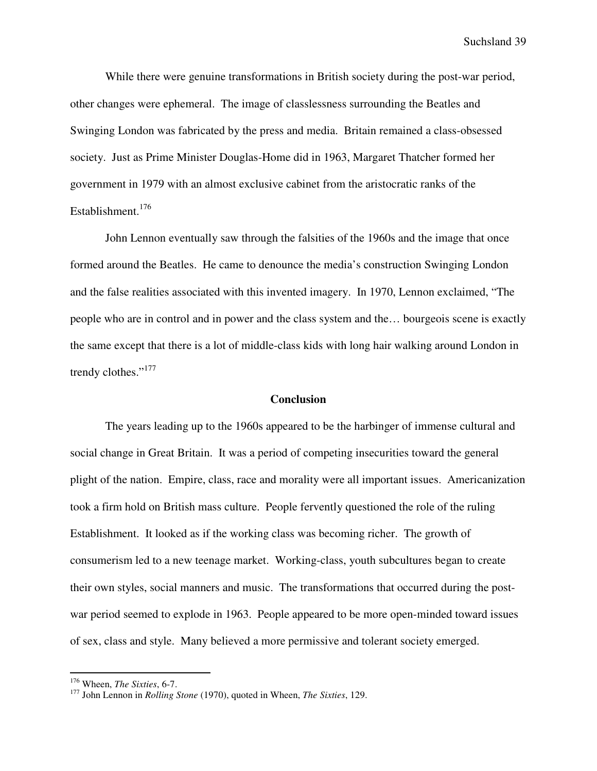While there were genuine transformations in British society during the post-war period, other changes were ephemeral. The image of classlessness surrounding the Beatles and Swinging London was fabricated by the press and media. Britain remained a class-obsessed society. Just as Prime Minister Douglas-Home did in 1963, Margaret Thatcher formed her government in 1979 with an almost exclusive cabinet from the aristocratic ranks of the Establishment.<sup>176</sup>

John Lennon eventually saw through the falsities of the 1960s and the image that once formed around the Beatles. He came to denounce the media's construction Swinging London and the false realities associated with this invented imagery. In 1970, Lennon exclaimed, "The people who are in control and in power and the class system and the… bourgeois scene is exactly the same except that there is a lot of middle-class kids with long hair walking around London in trendy clothes."<sup>177</sup>

## **Conclusion**

The years leading up to the 1960s appeared to be the harbinger of immense cultural and social change in Great Britain. It was a period of competing insecurities toward the general plight of the nation. Empire, class, race and morality were all important issues. Americanization took a firm hold on British mass culture. People fervently questioned the role of the ruling Establishment. It looked as if the working class was becoming richer. The growth of consumerism led to a new teenage market. Working-class, youth subcultures began to create their own styles, social manners and music. The transformations that occurred during the postwar period seemed to explode in 1963. People appeared to be more open-minded toward issues of sex, class and style. Many believed a more permissive and tolerant society emerged.

<sup>176</sup> Wheen, *The Sixties*, 6-7.

<sup>177</sup> John Lennon in *Rolling Stone* (1970), quoted in Wheen, *The Sixties*, 129.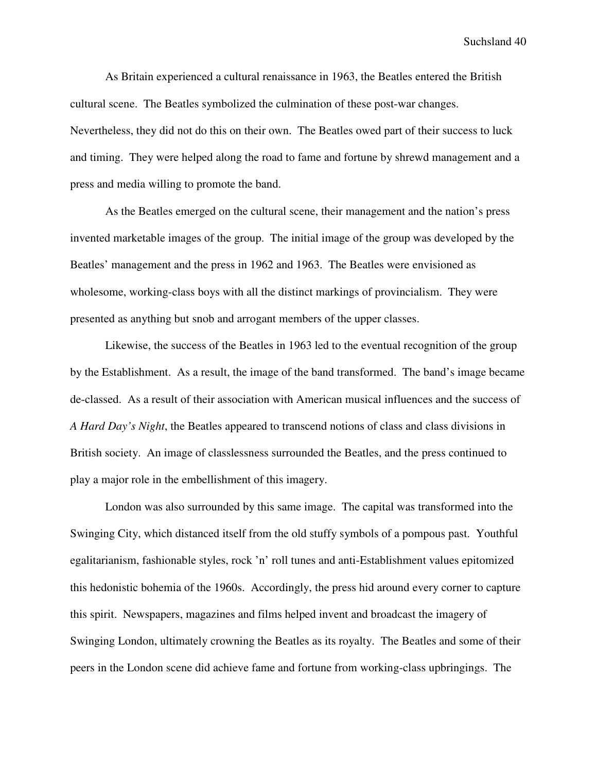As Britain experienced a cultural renaissance in 1963, the Beatles entered the British cultural scene. The Beatles symbolized the culmination of these post-war changes. Nevertheless, they did not do this on their own. The Beatles owed part of their success to luck and timing. They were helped along the road to fame and fortune by shrewd management and a press and media willing to promote the band.

As the Beatles emerged on the cultural scene, their management and the nation's press invented marketable images of the group. The initial image of the group was developed by the Beatles' management and the press in 1962 and 1963. The Beatles were envisioned as wholesome, working-class boys with all the distinct markings of provincialism. They were presented as anything but snob and arrogant members of the upper classes.

Likewise, the success of the Beatles in 1963 led to the eventual recognition of the group by the Establishment. As a result, the image of the band transformed. The band's image became de-classed. As a result of their association with American musical influences and the success of *A Hard Day's Night*, the Beatles appeared to transcend notions of class and class divisions in British society. An image of classlessness surrounded the Beatles, and the press continued to play a major role in the embellishment of this imagery.

London was also surrounded by this same image. The capital was transformed into the Swinging City, which distanced itself from the old stuffy symbols of a pompous past. Youthful egalitarianism, fashionable styles, rock 'n' roll tunes and anti-Establishment values epitomized this hedonistic bohemia of the 1960s. Accordingly, the press hid around every corner to capture this spirit. Newspapers, magazines and films helped invent and broadcast the imagery of Swinging London, ultimately crowning the Beatles as its royalty. The Beatles and some of their peers in the London scene did achieve fame and fortune from working-class upbringings. The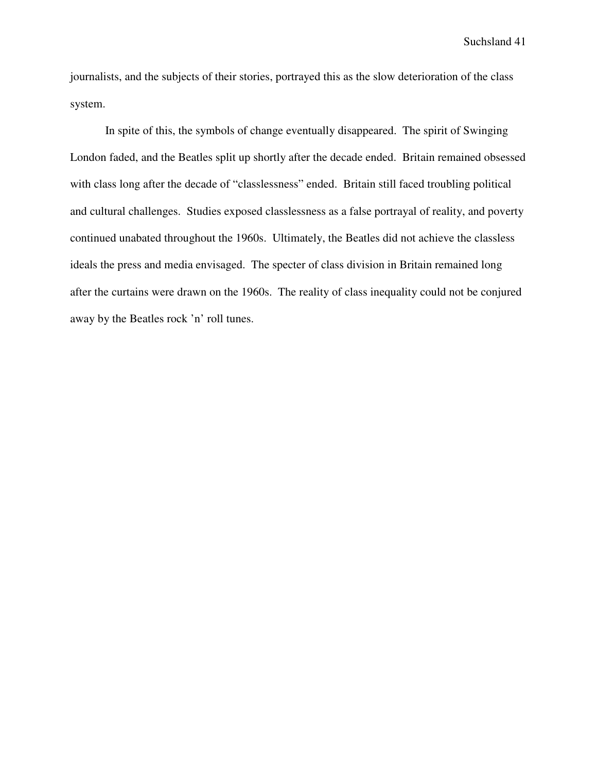journalists, and the subjects of their stories, portrayed this as the slow deterioration of the class system.

In spite of this, the symbols of change eventually disappeared. The spirit of Swinging London faded, and the Beatles split up shortly after the decade ended. Britain remained obsessed with class long after the decade of "classlessness" ended. Britain still faced troubling political and cultural challenges. Studies exposed classlessness as a false portrayal of reality, and poverty continued unabated throughout the 1960s. Ultimately, the Beatles did not achieve the classless ideals the press and media envisaged. The specter of class division in Britain remained long after the curtains were drawn on the 1960s. The reality of class inequality could not be conjured away by the Beatles rock 'n' roll tunes.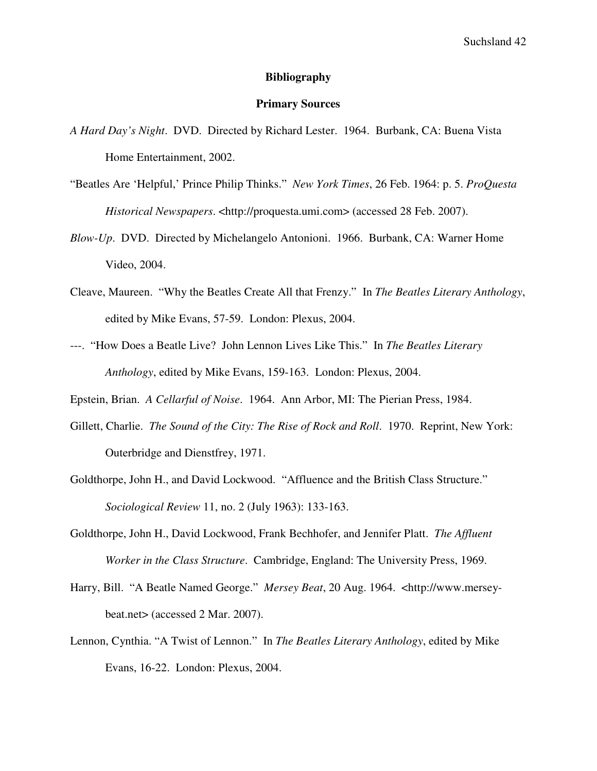## **Bibliography**

## **Primary Sources**

- *A Hard Day's Night*. DVD. Directed by Richard Lester. 1964. Burbank, CA: Buena Vista Home Entertainment, 2002.
- "Beatles Are 'Helpful,' Prince Philip Thinks." *New York Times*, 26 Feb. 1964: p. 5. *ProQuesta Historical Newspapers*. <http://proquesta.umi.com> (accessed 28 Feb. 2007).
- *Blow-Up*. DVD. Directed by Michelangelo Antonioni. 1966. Burbank, CA: Warner Home Video, 2004.
- Cleave, Maureen. "Why the Beatles Create All that Frenzy." In *The Beatles Literary Anthology*, edited by Mike Evans, 57-59. London: Plexus, 2004.
- ---. "How Does a Beatle Live? John Lennon Lives Like This." In *The Beatles Literary Anthology*, edited by Mike Evans, 159-163. London: Plexus, 2004.
- Epstein, Brian. *A Cellarful of Noise*. 1964. Ann Arbor, MI: The Pierian Press, 1984.
- Gillett, Charlie. *The Sound of the City: The Rise of Rock and Roll*. 1970. Reprint, New York: Outerbridge and Dienstfrey, 1971.
- Goldthorpe, John H., and David Lockwood. "Affluence and the British Class Structure." *Sociological Review* 11, no. 2 (July 1963): 133-163.
- Goldthorpe, John H., David Lockwood, Frank Bechhofer, and Jennifer Platt. *The Affluent Worker in the Class Structure*. Cambridge, England: The University Press, 1969.
- Harry, Bill. "A Beatle Named George." *Mersey Beat*, 20 Aug. 1964. <http://www.mersey beat.net> (accessed 2 Mar. 2007).
- Lennon, Cynthia. "A Twist of Lennon." In *The Beatles Literary Anthology*, edited by Mike Evans, 16-22. London: Plexus, 2004.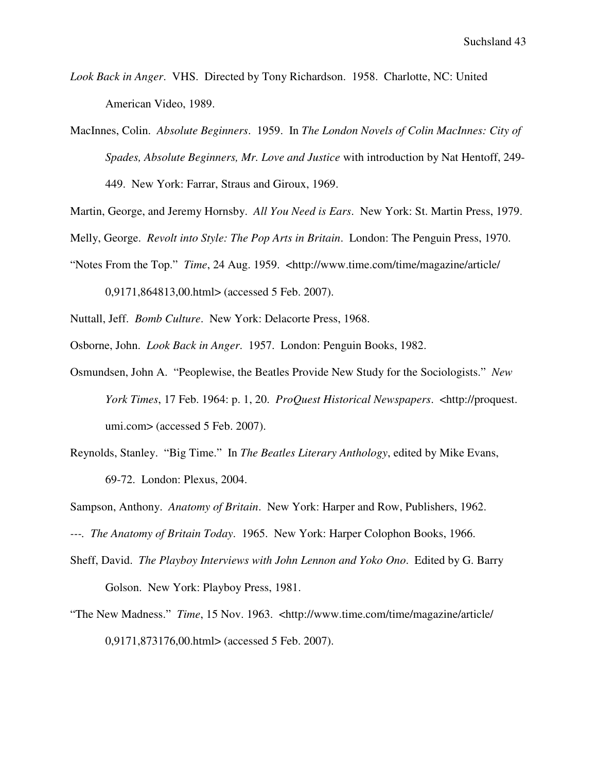- *Look Back in Anger*. VHS. Directed by Tony Richardson. 1958. Charlotte, NC: United American Video, 1989.
- MacInnes, Colin. *Absolute Beginners*. 1959. In *The London Novels of Colin MacInnes: City of Spades, Absolute Beginners, Mr. Love and Justice* with introduction by Nat Hentoff, 249- 449. New York: Farrar, Straus and Giroux, 1969.

Martin, George, and Jeremy Hornsby. *All You Need is Ears*. New York: St. Martin Press, 1979.

Melly, George. *Revolt into Style: The Pop Arts in Britain*. London: The Penguin Press, 1970.

"Notes From the Top." *Time*, 24 Aug. 1959. <http://www.time.com/time/magazine/article/

0,9171,864813,00.html> (accessed 5 Feb. 2007).

Nuttall, Jeff. *Bomb Culture*. New York: Delacorte Press, 1968.

Osborne, John. *Look Back in Anger*. 1957. London: Penguin Books, 1982.

- Osmundsen, John A. "Peoplewise, the Beatles Provide New Study for the Sociologists." *New York Times*, 17 Feb. 1964: p. 1, 20. *ProQuest Historical Newspapers*. <http://proquest. umi.com> (accessed 5 Feb. 2007).
- Reynolds, Stanley. "Big Time." In *The Beatles Literary Anthology*, edited by Mike Evans, 69-72. London: Plexus, 2004.

Sampson, Anthony. *Anatomy of Britain*. New York: Harper and Row, Publishers, 1962.

- *---. The Anatomy of Britain Today*. 1965. New York: Harper Colophon Books, 1966.
- Sheff, David. *The Playboy Interviews with John Lennon and Yoko Ono*. Edited by G. Barry Golson. New York: Playboy Press, 1981.
- "The New Madness." *Time*, 15 Nov. 1963. <http://www.time.com/time/magazine/article/ 0,9171,873176,00.html> (accessed 5 Feb. 2007).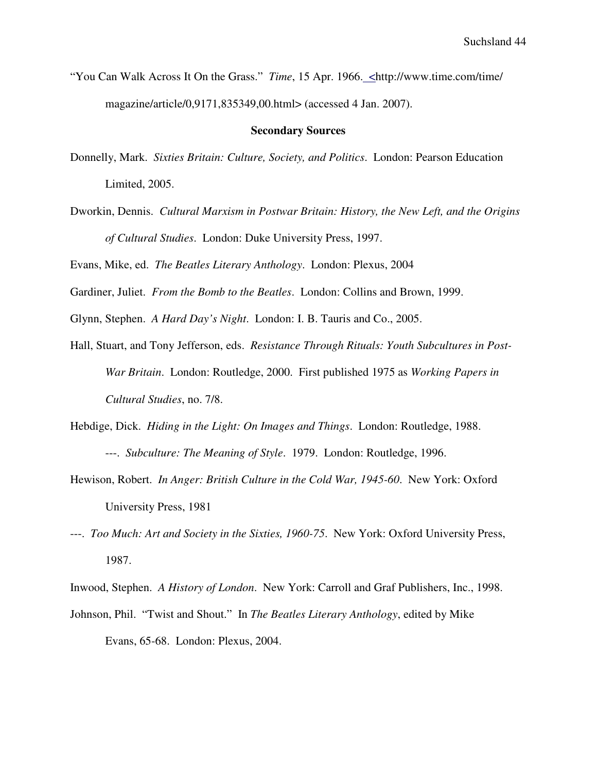"You Can Walk Across It On the Grass." *Time*, 15 Apr. 1966. <http://www.time.com/time/ magazine/article/0,9171,835349,00.html> (accessed 4 Jan. 2007).

## **Secondary Sources**

- Donnelly, Mark. *Sixties Britain: Culture, Society, and Politics*. London: Pearson Education Limited, 2005.
- Dworkin, Dennis. *Cultural Marxism in Postwar Britain: History, the New Left, and the Origins of Cultural Studies*. London: Duke University Press, 1997.

Evans, Mike, ed. *The Beatles Literary Anthology*. London: Plexus, 2004

Gardiner, Juliet. *From the Bomb to the Beatles*. London: Collins and Brown, 1999.

Glynn, Stephen. *A Hard Day's Night*. London: I. B. Tauris and Co., 2005.

- Hall, Stuart, and Tony Jefferson, eds. *Resistance Through Rituals: Youth Subcultures in Post-War Britain*. London: Routledge, 2000. First published 1975 as *Working Papers in Cultural Studies*, no. 7/8.
- Hebdige, Dick. *Hiding in the Light: On Images and Things*. London: Routledge, 1988. ---. *Subculture: The Meaning of Style*. 1979. London: Routledge, 1996.
- Hewison, Robert. *In Anger: British Culture in the Cold War, 1945-60*. New York: Oxford University Press, 1981
- ---. *Too Much: Art and Society in the Sixties, 1960-75*. New York: Oxford University Press, 1987.

Inwood, Stephen. *A History of London*. New York: Carroll and Graf Publishers, Inc., 1998. Johnson, Phil. "Twist and Shout." In *The Beatles Literary Anthology*, edited by Mike Evans, 65-68. London: Plexus, 2004.